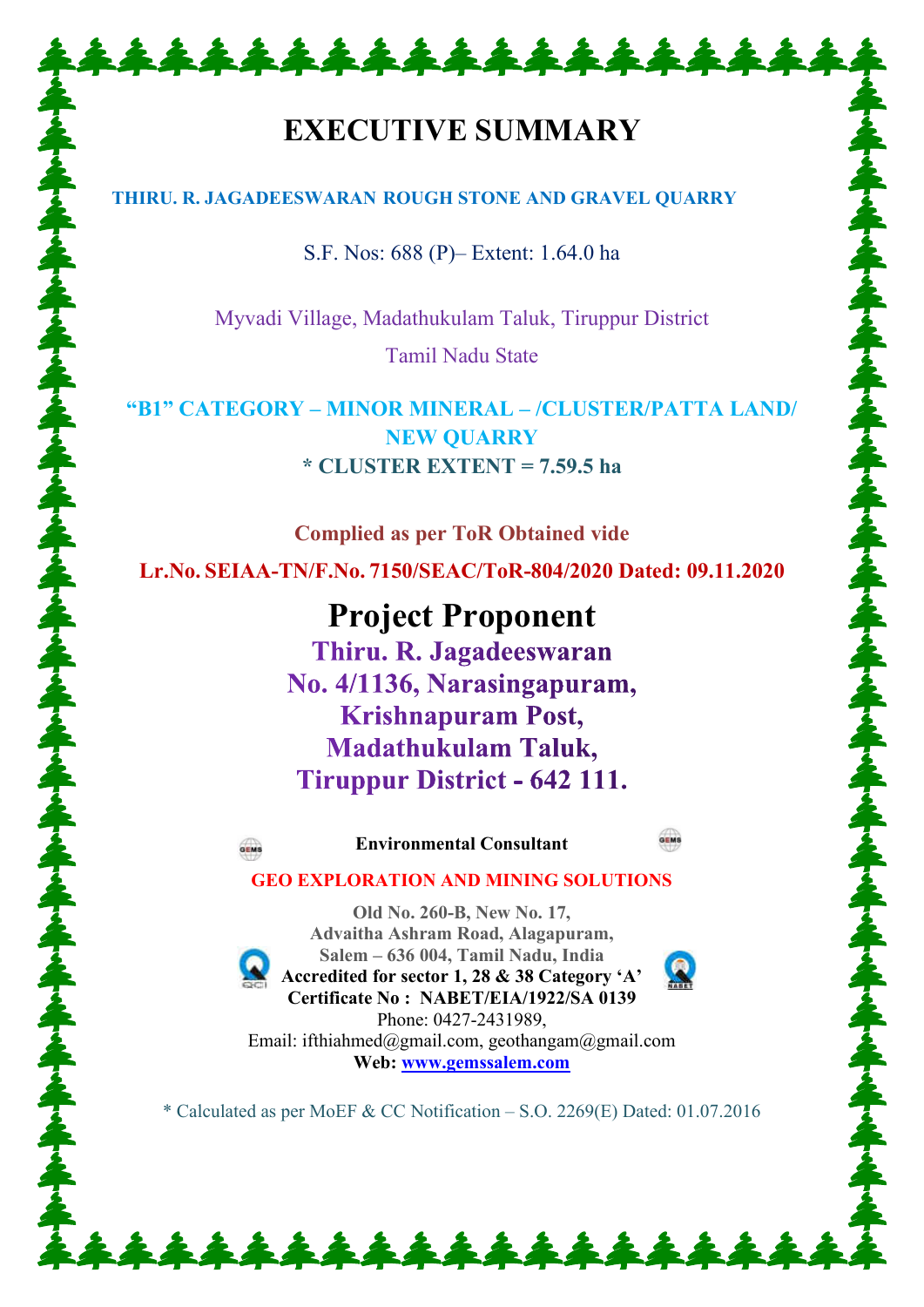# **EXECUTIVE SUMMARY**

\*\*\*\*\*\*\*\*\*\*\*\*\*\*\*\*\*\*\*

# **THIRU. R. JAGADEESWARAN ROUGH STONE AND GRAVEL QUARRY**

S.F. Nos: 688 (P)– Extent: 1.64.0 ha

Myvadi Village, Madathukulam Taluk, Tiruppur District Tamil Nadu State

**"B1" CATEGORY – MINOR MINERAL – /CLUSTER/PATTA LAND/ NEW QUARRY \* CLUSTER EXTENT = 7.59.5 ha**

**Complied as per ToR Obtained vide Lr.No. SEIAA-TN/F.No. 7150/SEAC/ToR-804/2020 Dated: 09.11.2020** 

> **Project Proponent** Thiru. R. Jagadeeswaran No. 4/1136, Narasingapuram, **Krishnapuram Post, Madathukulam Taluk,** Tiruppur District - 642 111.



**Environmental Consultant** 

**GEO EXPLORATION AND MINING SOLUTIONS** 

**Old No. 260-B, New No. 17, Advaitha Ashram Road, Alagapuram, Salem – 636 004, Tamil Nadu, India Accredited for sector 1, 28 & 38 Category 'A' Certificate No : NABET/EIA/1922/SA 0139**  Phone: 0427-2431989, Email: ifthiahmed@gmail.com, geothangam@gmail.com **Web: [www.gemssalem.com](http://www.gemssalem.com/)** 

\* Calculated as per MoEF & CC Notification – S.O. 2269(E) Dated: 01.07.2016

\*\*\*\*\*\*\*\*\*\*\*\*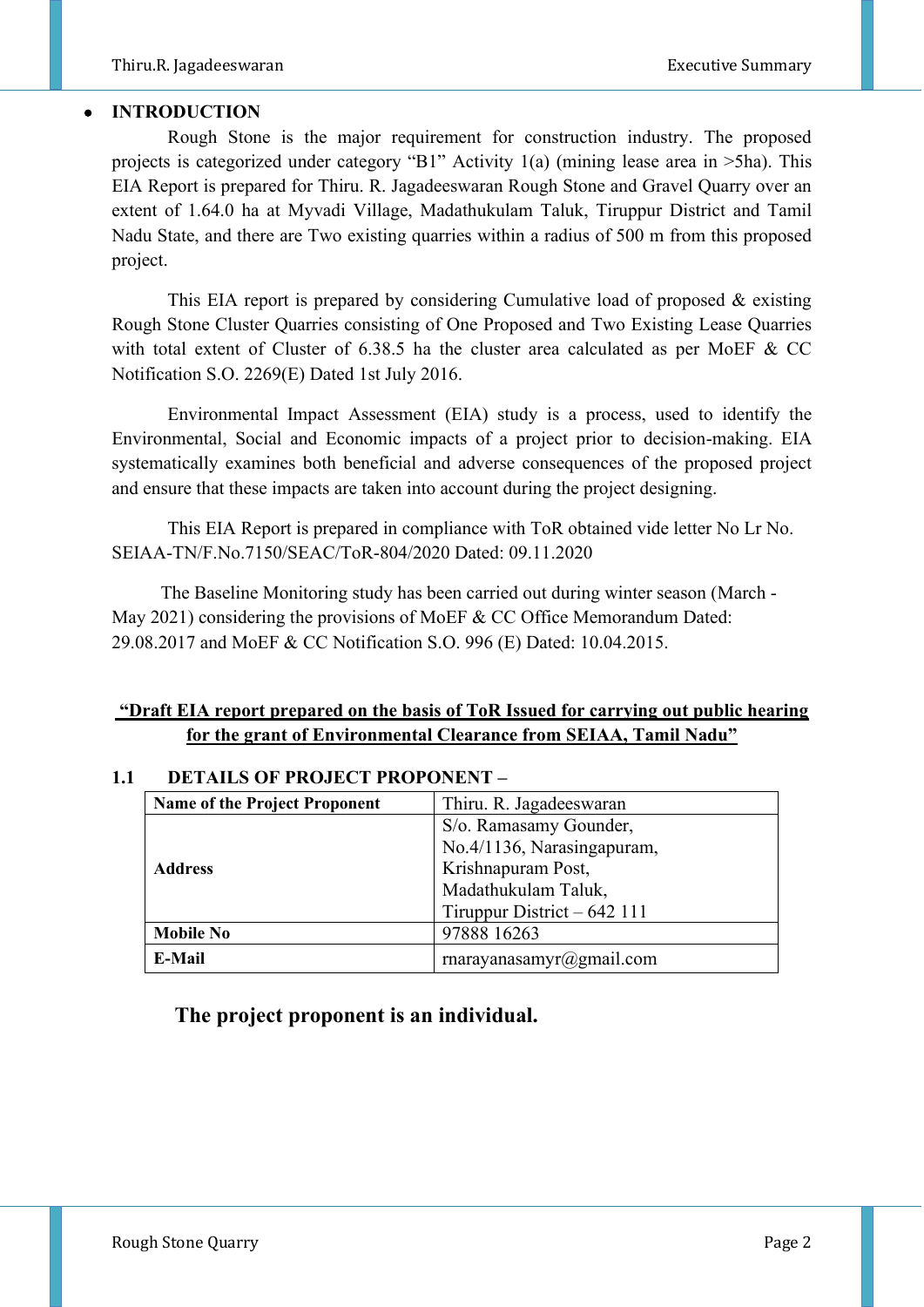# • **INTRODUCTION**

 Rough Stone is the major requirement for construction industry. The proposed projects is categorized under category "B1" Activity 1(a) (mining lease area in >5ha). This EIA Report is prepared for Thiru. R. Jagadeeswaran Rough Stone and Gravel Quarry over an extent of 1.64.0 ha at Myvadi Village, Madathukulam Taluk, Tiruppur District and Tamil Nadu State, and there are Two existing quarries within a radius of 500 m from this proposed project.

 This EIA report is prepared by considering Cumulative load of proposed & existing Rough Stone Cluster Quarries consisting of One Proposed and Two Existing Lease Quarries with total extent of Cluster of 6.38.5 ha the cluster area calculated as per MoEF & CC Notification S.O. 2269(E) Dated 1st July 2016.

 Environmental Impact Assessment (EIA) study is a process, used to identify the Environmental, Social and Economic impacts of a project prior to decision-making. EIA systematically examines both beneficial and adverse consequences of the proposed project and ensure that these impacts are taken into account during the project designing.

 This EIA Report is prepared in compliance with ToR obtained vide letter No Lr No. SEIAA-TN/F.No.7150/SEAC/ToR-804/2020 Dated: 09.11.2020

 The Baseline Monitoring study has been carried out during winter season (March - May 2021) considering the provisions of MoEF & CC Office Memorandum Dated: 29.08.2017 and MoEF & CC Notification S.O. 996 (E) Dated: 10.04.2015.

# **"Draft EIA report prepared on the basis of ToR Issued for carrying out public hearing for the grant of Environmental Clearance from SEIAA, Tamil Nadu"**

| Name of the Project Proponent | Thiru. R. Jagadeeswaran      |  |
|-------------------------------|------------------------------|--|
|                               | S/o. Ramasamy Gounder,       |  |
|                               | No.4/1136, Narasingapuram,   |  |
| <b>Address</b>                | Krishnapuram Post,           |  |
|                               | Madathukulam Taluk,          |  |
|                               | Tiruppur District $-642$ 111 |  |
| <b>Mobile No</b>              | 97888 16263                  |  |
| <b>E-Mail</b>                 | rnarayanasamyr@gmail.com     |  |

# **1.1 DETAILS OF PROJECT PROPONENT –**

# **The project proponent is an individual.**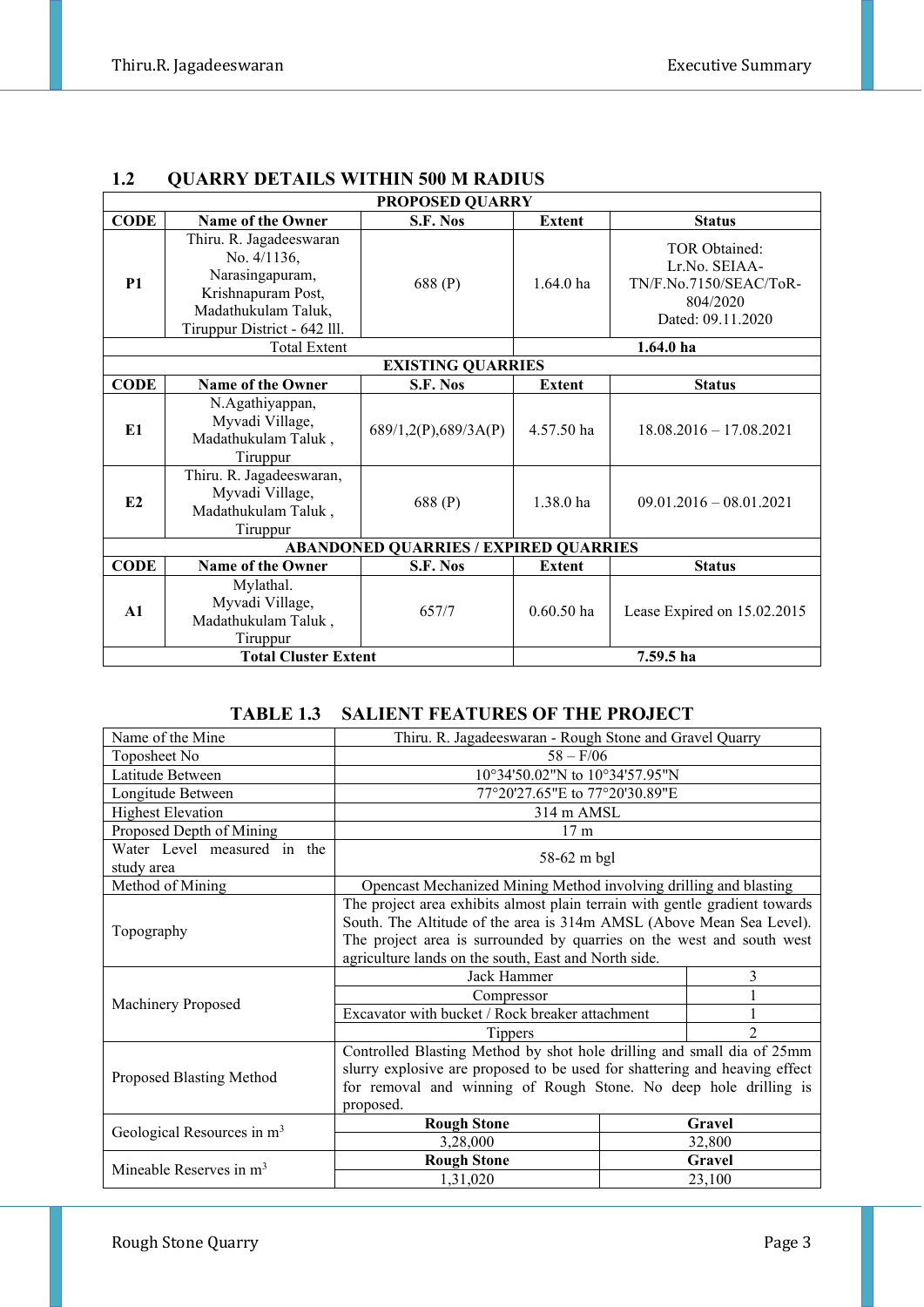| <b>PROPOSED QUARRY</b>      |                                                                                                                                           |                                              |               |                                                                                           |
|-----------------------------|-------------------------------------------------------------------------------------------------------------------------------------------|----------------------------------------------|---------------|-------------------------------------------------------------------------------------------|
| <b>CODE</b>                 | <b>Name of the Owner</b>                                                                                                                  | S.F. Nos                                     | <b>Extent</b> | <b>Status</b>                                                                             |
| <b>P1</b>                   | Thiru. R. Jagadeeswaran<br>No. $4/1136$ ,<br>Narasingapuram,<br>Krishnapuram Post,<br>Madathukulam Taluk,<br>Tiruppur District - 642 lll. | 688 (P)                                      | $1.64.0$ ha   | TOR Obtained:<br>Lr.No. SEIAA-<br>TN/F.No.7150/SEAC/ToR-<br>804/2020<br>Dated: 09.11.2020 |
|                             | <b>Total Extent</b>                                                                                                                       |                                              |               | $1.64.0$ ha                                                                               |
|                             |                                                                                                                                           | <b>EXISTING QUARRIES</b>                     |               |                                                                                           |
| <b>CODE</b>                 | <b>Name of the Owner</b>                                                                                                                  | S.F. Nos                                     | <b>Extent</b> | <b>Status</b>                                                                             |
| E <sub>1</sub>              | N.Agathiyappan,<br>Myvadi Village,<br>Madathukulam Taluk,<br>Tiruppur                                                                     | 689/1,2(P),689/3A(P)                         | 4.57.50 ha    | $18.08.2016 - 17.08.2021$                                                                 |
| E2                          | Thiru. R. Jagadeeswaran,<br>Myvadi Village,<br>Madathukulam Taluk,<br>Tiruppur                                                            | 688 (P)                                      | 1.38.0 ha     | $09.01.2016 - 08.01.2021$                                                                 |
|                             |                                                                                                                                           | <b>ABANDONED QUARRIES / EXPIRED QUARRIES</b> |               |                                                                                           |
| <b>CODE</b>                 | Name of the Owner                                                                                                                         | S.F. Nos                                     | Extent        | <b>Status</b>                                                                             |
| $\mathbf{A1}$               | Mylathal.<br>Myvadi Village,<br>Madathukulam Taluk,<br>Tiruppur                                                                           | 657/7                                        | $0.60.50$ ha  | Lease Expired on 15.02.2015                                                               |
| <b>Total Cluster Extent</b> |                                                                                                                                           |                                              |               | 7.59.5 ha                                                                                 |

# **1.2 QUARRY DETAILS WITHIN 500 M RADIUS**

# **TABLE 1.3 SALIENT FEATURES OF THE PROJECT**

| Name of the Mine                          | Thiru. R. Jagadeeswaran - Rough Stone and Gravel Quarry                     |        |               |
|-------------------------------------------|-----------------------------------------------------------------------------|--------|---------------|
| Toposheet No                              | $58 - F/06$                                                                 |        |               |
| Latitude Between                          | 10°34'50.02"N to 10°34'57.95"N                                              |        |               |
| Longitude Between                         | 77°20'27.65"E to 77°20'30.89"E                                              |        |               |
| <b>Highest Elevation</b>                  | 314 m AMSL                                                                  |        |               |
| Proposed Depth of Mining                  | 17 <sub>m</sub>                                                             |        |               |
| Water Level measured in the<br>study area | 58-62 m bgl                                                                 |        |               |
| Method of Mining                          | Opencast Mechanized Mining Method involving drilling and blasting           |        |               |
|                                           | The project area exhibits almost plain terrain with gentle gradient towards |        |               |
| Topography                                | South. The Altitude of the area is 314m AMSL (Above Mean Sea Level).        |        |               |
|                                           | The project area is surrounded by quarries on the west and south west       |        |               |
|                                           | agriculture lands on the south, East and North side.                        |        |               |
|                                           | Jack Hammer                                                                 |        | 3             |
| Machinery Proposed                        | Compressor                                                                  |        |               |
|                                           | Excavator with bucket / Rock breaker attachment                             |        |               |
|                                           | <b>Tippers</b>                                                              |        | $\mathcal{D}$ |
|                                           | Controlled Blasting Method by shot hole drilling and small dia of 25mm      |        |               |
| Proposed Blasting Method                  | slurry explosive are proposed to be used for shattering and heaving effect  |        |               |
|                                           | for removal and winning of Rough Stone. No deep hole drilling is            |        |               |
|                                           | proposed.                                                                   |        |               |
| Geological Resources in m <sup>3</sup>    | <b>Rough Stone</b>                                                          | Gravel |               |
|                                           | 3,28,000                                                                    | 32,800 |               |
| Mineable Reserves in $m3$                 | <b>Rough Stone</b>                                                          |        | Gravel        |
|                                           | 1,31,020                                                                    |        | 23,100        |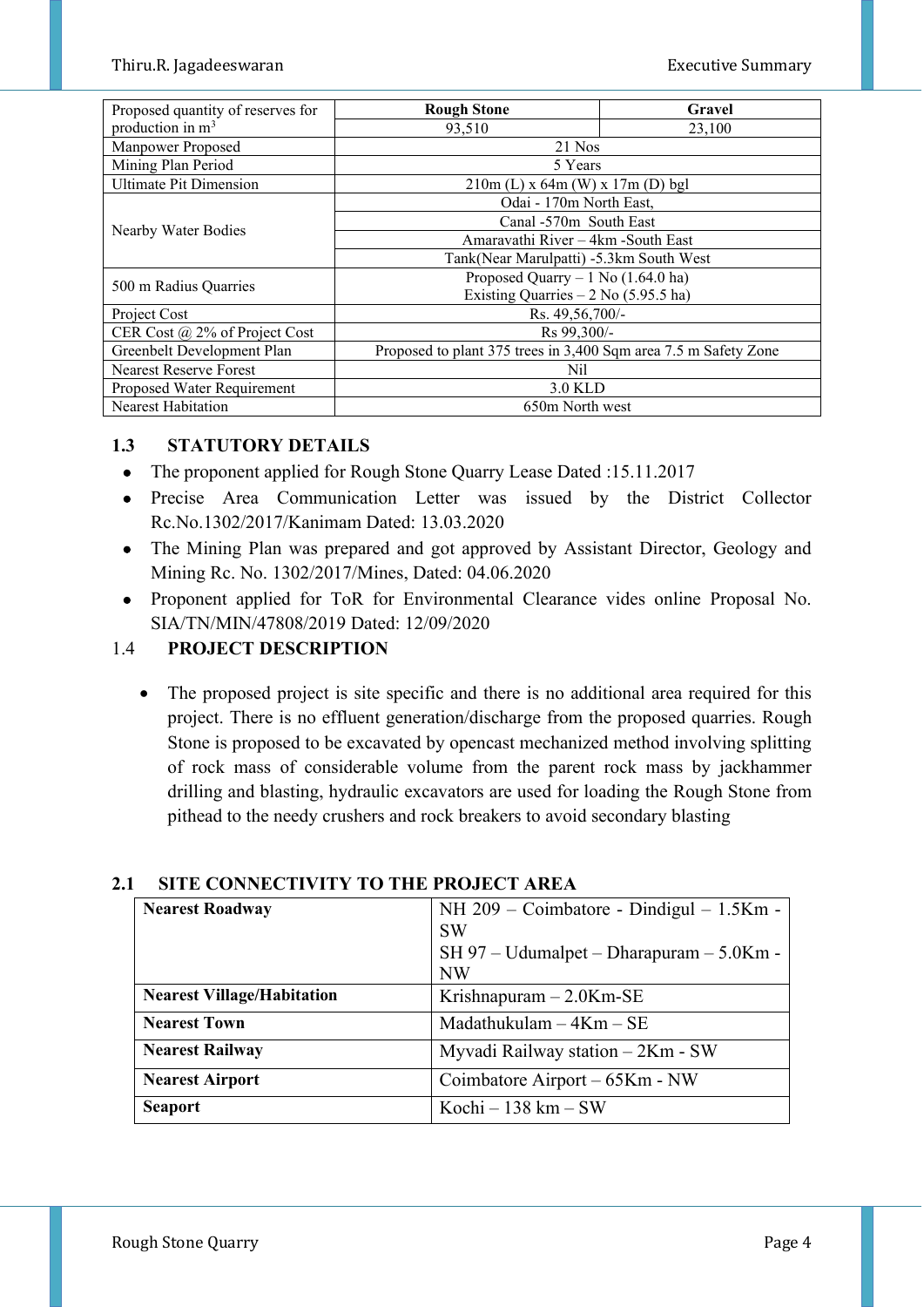| Proposed quantity of reserves for    | <b>Rough Stone</b>                                              | Gravel |  |  |
|--------------------------------------|-----------------------------------------------------------------|--------|--|--|
| production in $m3$                   | 93,510<br>23,100                                                |        |  |  |
| Manpower Proposed                    | 21 Nos                                                          |        |  |  |
| Mining Plan Period                   | 5 Years                                                         |        |  |  |
| <b>Ultimate Pit Dimension</b>        | $210m$ (L) x 64m (W) x 17m (D) bgl                              |        |  |  |
|                                      | Odai - 170m North East,                                         |        |  |  |
|                                      | Canal -570m South East                                          |        |  |  |
| Nearby Water Bodies                  | Amaravathi River - 4km - South East                             |        |  |  |
|                                      | Tank(Near Marulpatti) -5.3km South West                         |        |  |  |
| 500 m Radius Quarries                | Proposed Quarry $-1$ No (1.64.0 ha)                             |        |  |  |
|                                      | Existing Quarries $-2$ No (5.95.5 ha)                           |        |  |  |
| Project Cost                         | Rs. 49,56,700/-                                                 |        |  |  |
| CER Cost $\omega$ 2% of Project Cost | Rs 99,300/-                                                     |        |  |  |
| Greenbelt Development Plan           | Proposed to plant 375 trees in 3,400 Sqm area 7.5 m Safety Zone |        |  |  |
| <b>Nearest Reserve Forest</b>        | Nil                                                             |        |  |  |
| Proposed Water Requirement           | 3.0 KLD                                                         |        |  |  |
| <b>Nearest Habitation</b>            | 650m North west                                                 |        |  |  |

# **1.3 STATUTORY DETAILS**

- The proponent applied for Rough Stone Quarry Lease Dated : 15.11.2017
- Precise Area Communication Letter was issued by the District Collector Rc.No.1302/2017/Kanimam Dated: 13.03.2020
- The Mining Plan was prepared and got approved by Assistant Director, Geology and Mining Rc. No. 1302/2017/Mines, Dated: 04.06.2020
- Proponent applied for ToR for Environmental Clearance vides online Proposal No. SIA/TN/MIN/47808/2019 Dated: 12/09/2020

# 1.4 **PROJECT DESCRIPTION**

• The proposed project is site specific and there is no additional area required for this project. There is no effluent generation/discharge from the proposed quarries. Rough Stone is proposed to be excavated by opencast mechanized method involving splitting of rock mass of considerable volume from the parent rock mass by jackhammer drilling and blasting, hydraulic excavators are used for loading the Rough Stone from pithead to the needy crushers and rock breakers to avoid secondary blasting

| <b>Nearest Roadway</b>            | NH 209 – Coimbatore - Dindigul – 1.5Km -<br><b>SW</b><br>$SH 97 - Udumalpet - Dharapuram - 5.0Km -$<br><b>NW</b> |  |
|-----------------------------------|------------------------------------------------------------------------------------------------------------------|--|
| <b>Nearest Village/Habitation</b> | Krishnapuram $-2.0$ Km-SE                                                                                        |  |
| <b>Nearest Town</b>               | Madathukulam $-4Km - SE$                                                                                         |  |
| <b>Nearest Railway</b>            | Myvadi Railway station - 2Km - SW                                                                                |  |
| <b>Nearest Airport</b>            | Coimbatore Airport – 65Km - NW                                                                                   |  |
| <b>Seaport</b>                    | Kochi – 138 km – SW                                                                                              |  |

# **2.1 SITE CONNECTIVITY TO THE PROJECT AREA**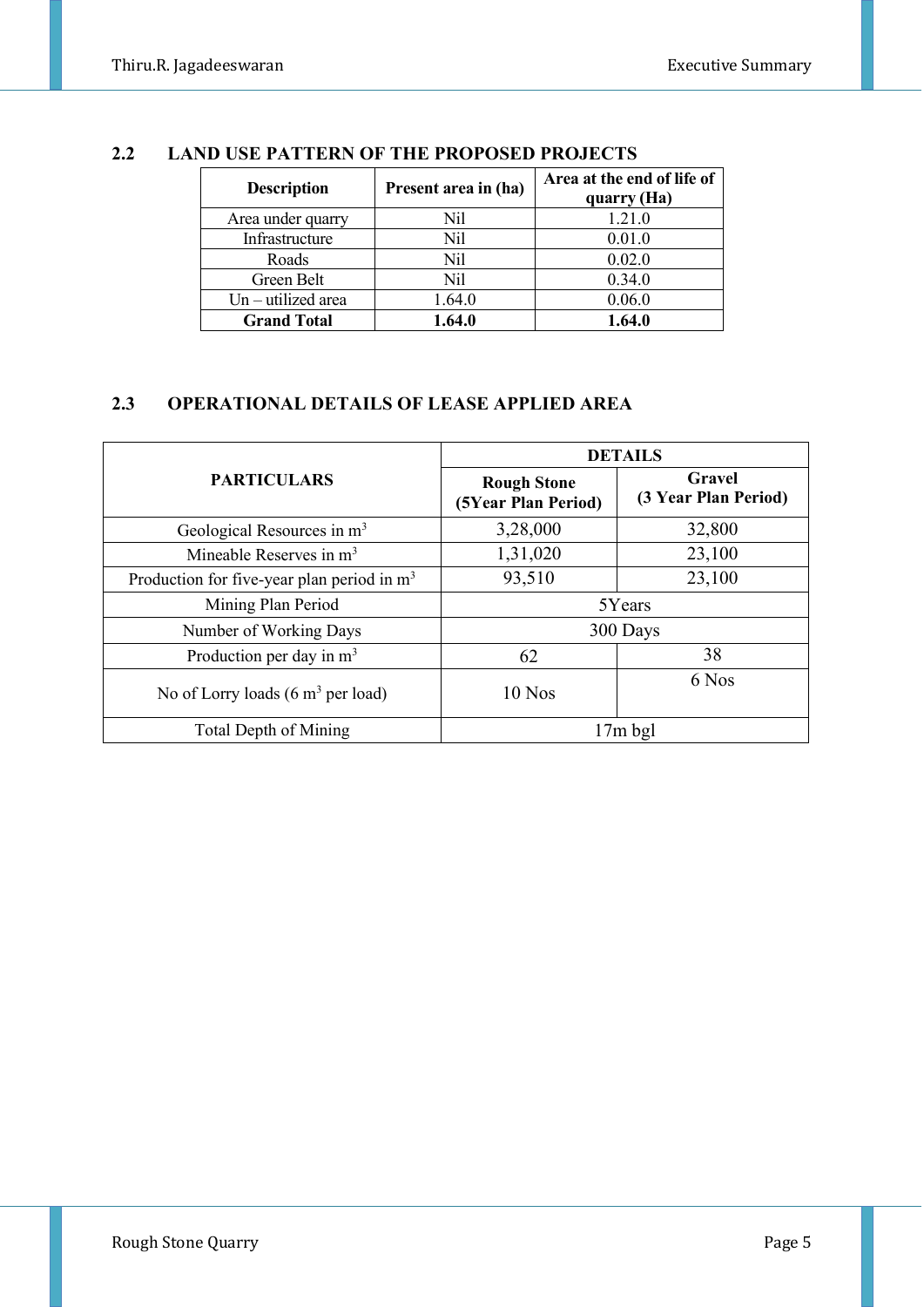| <b>Description</b>   | Present area in (ha) | Area at the end of life of<br>quarry (Ha) |
|----------------------|----------------------|-------------------------------------------|
| Area under quarry    | Nil                  | 1.21.0                                    |
| Infrastructure       | Nil                  | 0.01.0                                    |
| Roads                | Nil                  | 0.02.0                                    |
| Green Belt           | Nil                  | 0.34.0                                    |
| $Un - utilized area$ | 1.64.0               | 0.06.0                                    |
| <b>Grand Total</b>   | 1.64.0               | 1.64.0                                    |

# **2.2 LAND USE PATTERN OF THE PROPOSED PROJECTS**

# **2.3 OPERATIONAL DETAILS OF LEASE APPLIED AREA**

|                                                      |                                           | <b>DETAILS</b>                 |  |  |
|------------------------------------------------------|-------------------------------------------|--------------------------------|--|--|
| <b>PARTICULARS</b>                                   | <b>Rough Stone</b><br>(5Year Plan Period) | Gravel<br>(3 Year Plan Period) |  |  |
| Geological Resources in m <sup>3</sup>               | 3,28,000                                  | 32,800                         |  |  |
| Mineable Reserves in $m3$                            | 1,31,020                                  | 23,100                         |  |  |
| Production for five-year plan period in $m3$         | 93,510                                    | 23,100                         |  |  |
| Mining Plan Period                                   | 5Years                                    |                                |  |  |
| Number of Working Days                               |                                           | 300 Days                       |  |  |
| Production per day in $m3$                           | 62                                        | 38                             |  |  |
| No of Lorry loads $(6 \text{ m}^3 \text{ per load})$ | $10$ Nos                                  | 6 Nos                          |  |  |
| Total Depth of Mining                                |                                           | $17m$ bgl                      |  |  |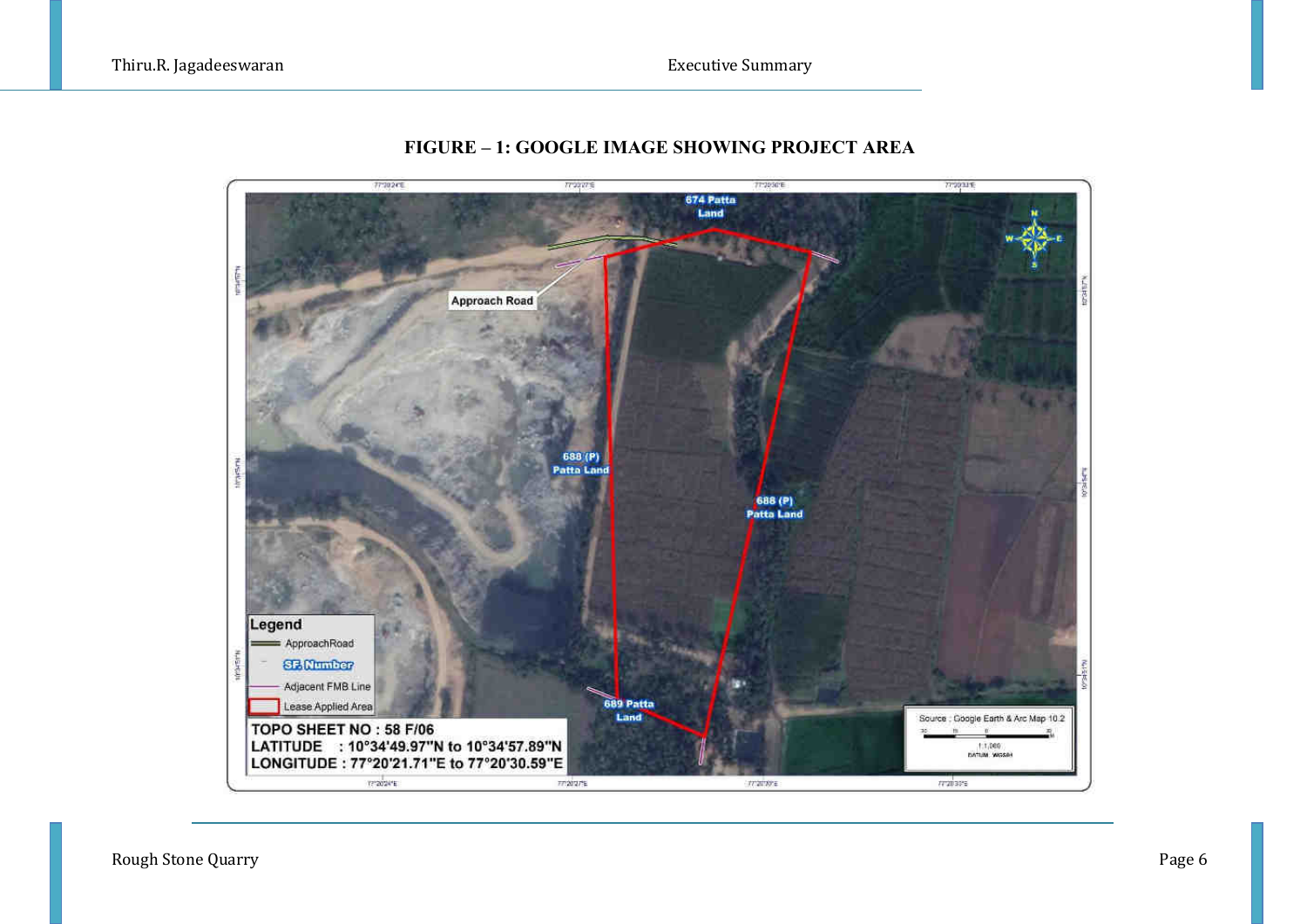

#### **FIGURE – 1: GOOGLE IMAGE SHOWING PROJECT AREA**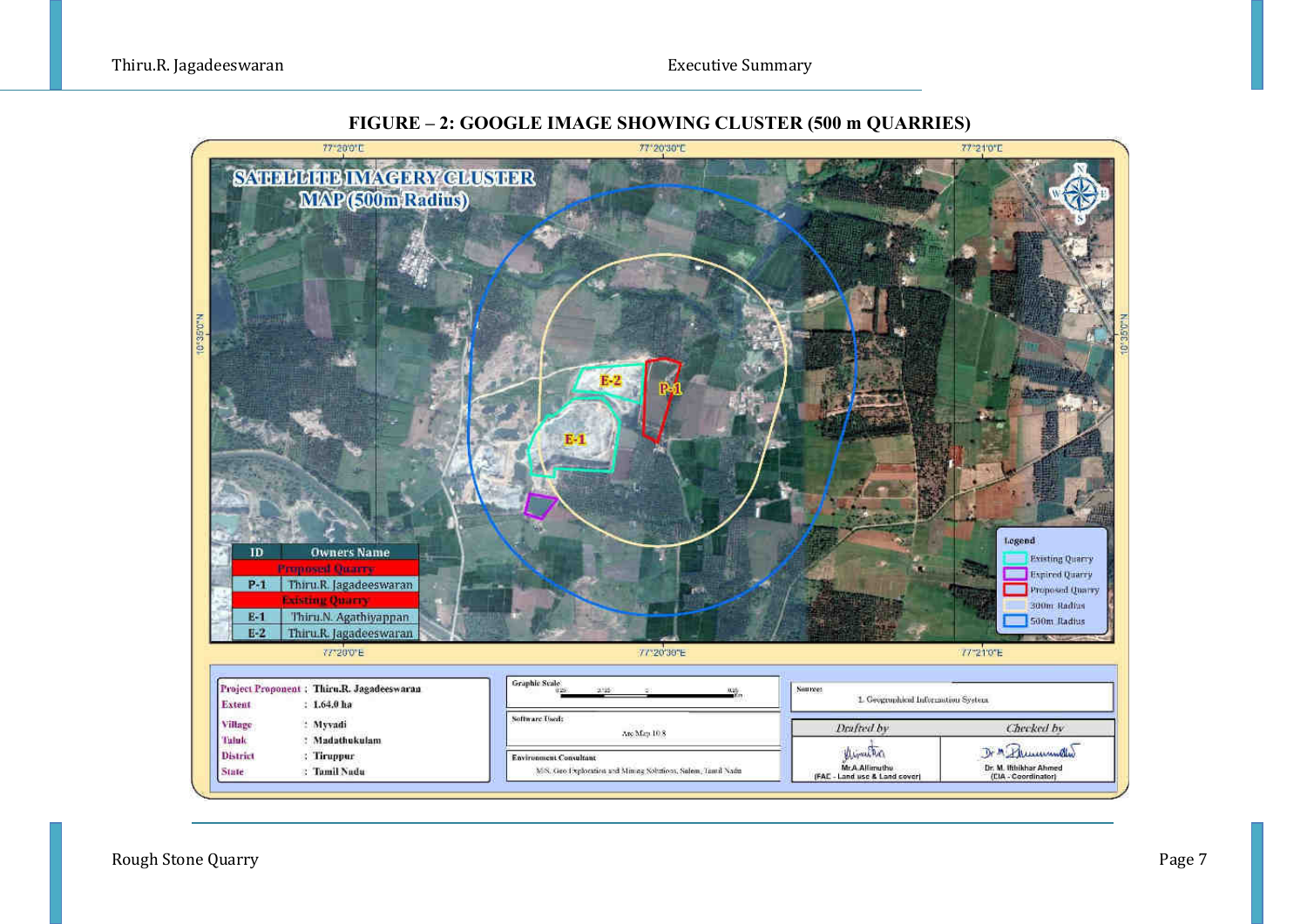

#### **FIGURE – 2: GOOGLE IMAGE SHOWING CLUSTER (500 m QUARRIES)**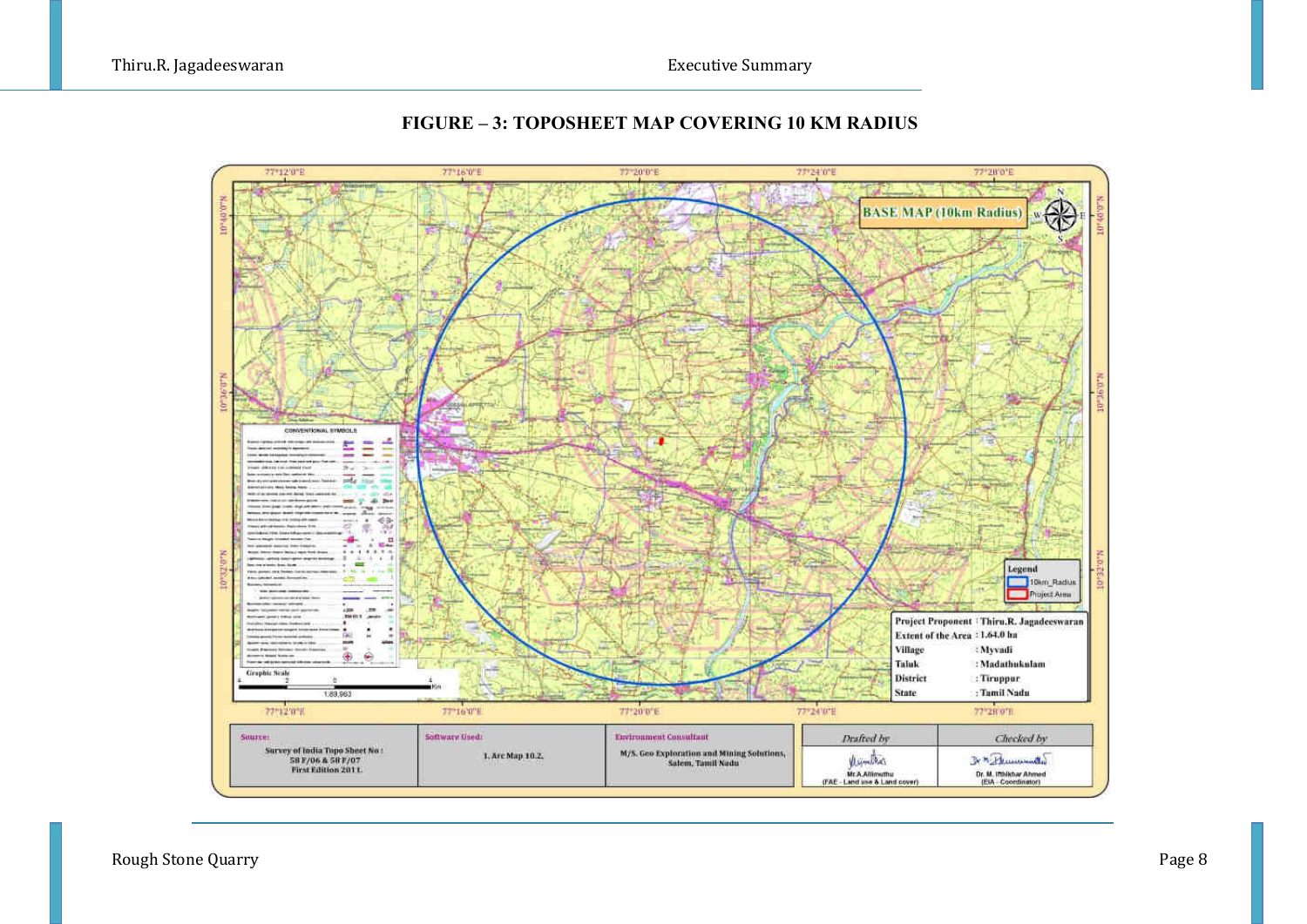

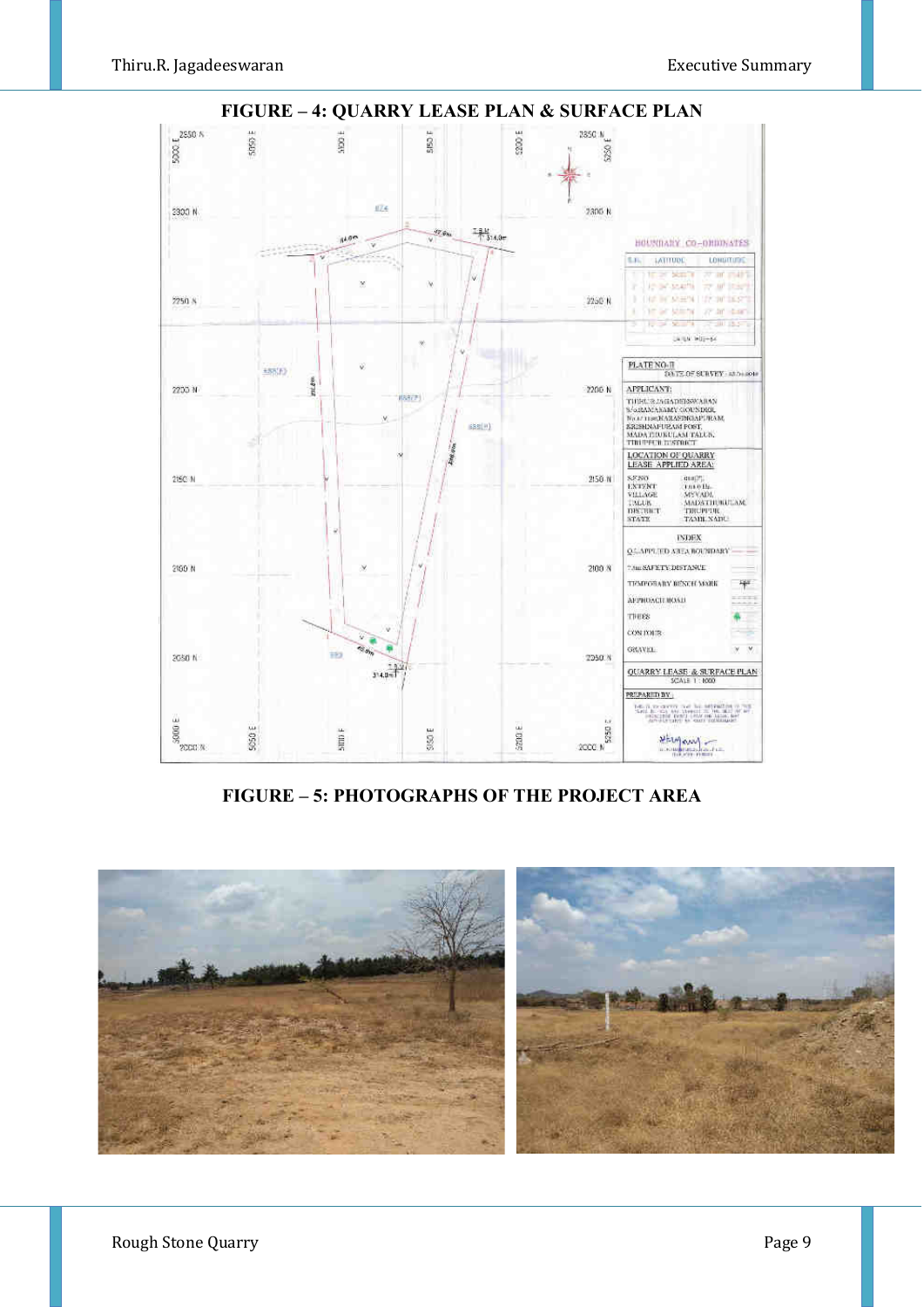

**FIGURE – 5: PHOTOGRAPHS OF THE PROJECT AREA** 

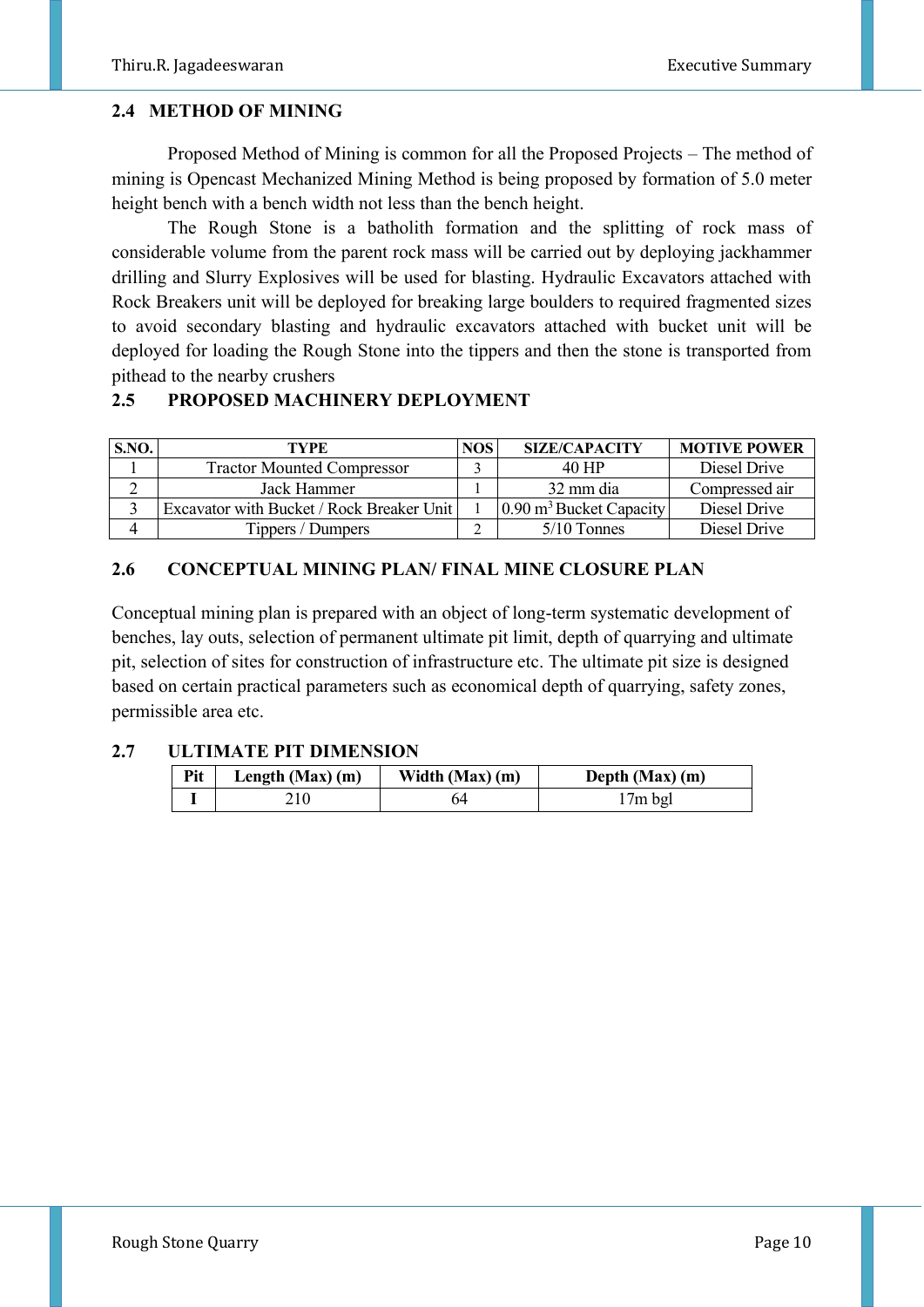#### **2.4 METHOD OF MINING**

 Proposed Method of Mining is common for all the Proposed Projects – The method of mining is Opencast Mechanized Mining Method is being proposed by formation of 5.0 meter height bench with a bench width not less than the bench height.

 The Rough Stone is a batholith formation and the splitting of rock mass of considerable volume from the parent rock mass will be carried out by deploying jackhammer drilling and Slurry Explosives will be used for blasting. Hydraulic Excavators attached with Rock Breakers unit will be deployed for breaking large boulders to required fragmented sizes to avoid secondary blasting and hydraulic excavators attached with bucket unit will be deployed for loading the Rough Stone into the tippers and then the stone is transported from pithead to the nearby crushers

# **2.5 PROPOSED MACHINERY DEPLOYMENT**

| S.NO. | TYPE                                      | NOS <sup>1</sup> | <b>SIZE/CAPACITY</b>               | <b>MOTIVE POWER</b> |
|-------|-------------------------------------------|------------------|------------------------------------|---------------------|
|       | <b>Tractor Mounted Compressor</b>         |                  | 40 HP                              | Diesel Drive        |
|       | Jack Hammer                               |                  | 32 mm dia                          | Compressed air      |
|       | Excavator with Bucket / Rock Breaker Unit |                  | $0.90 \text{ m}^3$ Bucket Capacity | Diesel Drive        |
|       | Tippers / Dumpers                         |                  | $5/10$ Tonnes                      | Diesel Drive        |

# **2.6 CONCEPTUAL MINING PLAN/ FINAL MINE CLOSURE PLAN**

Conceptual mining plan is prepared with an object of long-term systematic development of benches, lay outs, selection of permanent ultimate pit limit, depth of quarrying and ultimate pit, selection of sites for construction of infrastructure etc. The ultimate pit size is designed based on certain practical parameters such as economical depth of quarrying, safety zones, permissible area etc.

#### **2.7 ULTIMATE PIT DIMENSION**

| Pit | Length $(Max)$ (m) | Width $(Max)$ (m) | Depth (Max) (m) |
|-----|--------------------|-------------------|-----------------|
|     |                    |                   | $17m$ bgl       |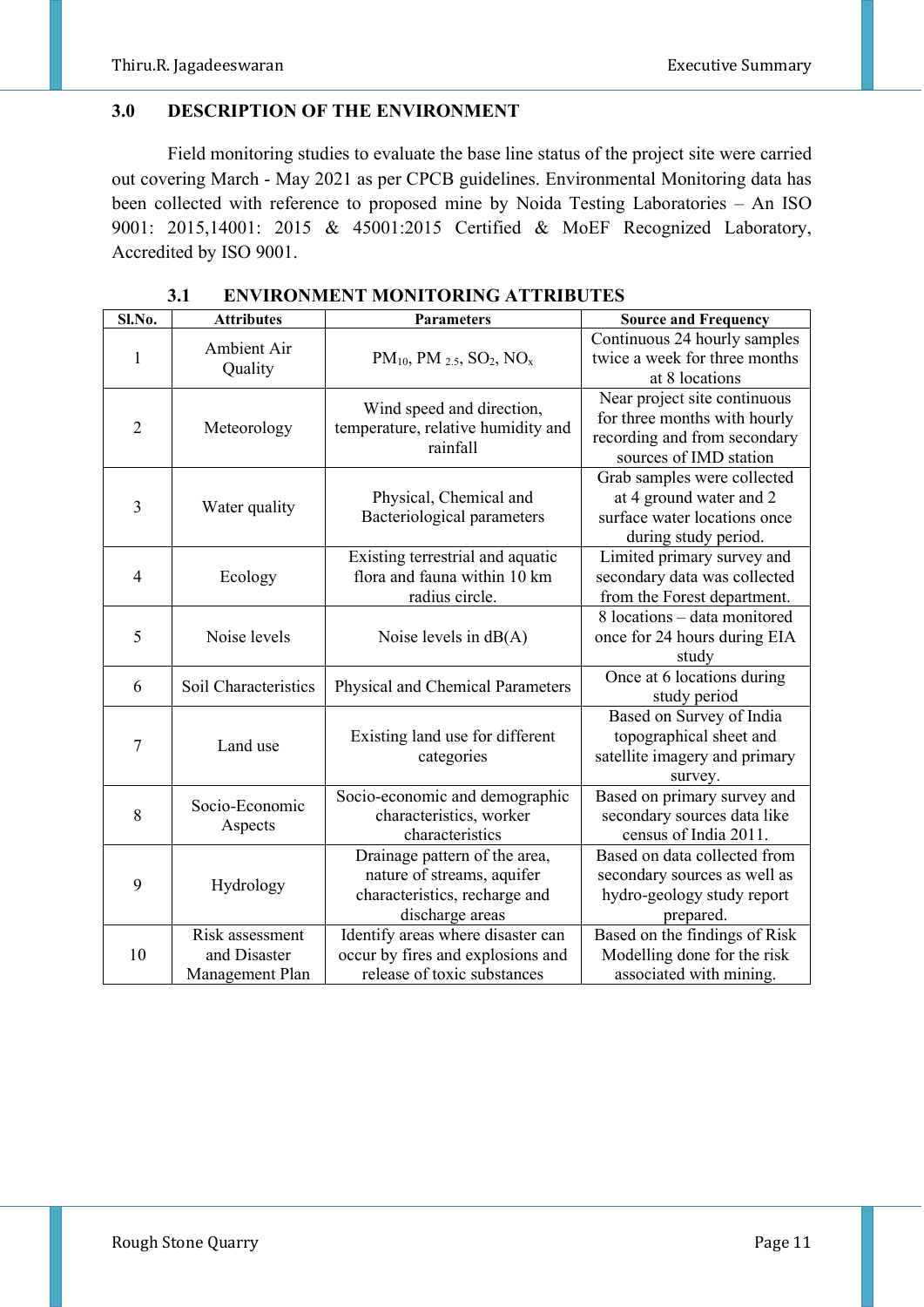#### **3.0 DESCRIPTION OF THE ENVIRONMENT**

Field monitoring studies to evaluate the base line status of the project site were carried out covering March - May 2021 as per CPCB guidelines. Environmental Monitoring data has been collected with reference to proposed mine by Noida Testing Laboratories – An ISO 9001: 2015,14001: 2015 & 45001:2015 Certified & MoEF Recognized Laboratory, Accredited by ISO 9001.

| Sl.No.         | <b>Attributes</b>                                  | <b>Parameters</b>                                                                                               | <b>Source and Frequency</b>                                                                                            |
|----------------|----------------------------------------------------|-----------------------------------------------------------------------------------------------------------------|------------------------------------------------------------------------------------------------------------------------|
| 1              | Ambient Air<br>Quality                             | $PM_{10}$ , PM 2.5, SO <sub>2</sub> , NO <sub>x</sub>                                                           | Continuous 24 hourly samples<br>twice a week for three months<br>at 8 locations                                        |
| $\overline{2}$ | Meteorology                                        | Wind speed and direction,<br>temperature, relative humidity and<br>rainfall                                     | Near project site continuous<br>for three months with hourly<br>recording and from secondary<br>sources of IMD station |
| 3              | Water quality                                      | Physical, Chemical and<br><b>Bacteriological parameters</b>                                                     | Grab samples were collected<br>at 4 ground water and 2<br>surface water locations once<br>during study period.         |
| $\overline{4}$ | Ecology                                            | Existing terrestrial and aquatic<br>flora and fauna within 10 km<br>radius circle.                              | Limited primary survey and<br>secondary data was collected<br>from the Forest department.                              |
| 5              | Noise levels                                       | Noise levels in $dB(A)$                                                                                         | 8 locations - data monitored<br>once for 24 hours during EIA<br>study                                                  |
| 6              | Soil Characteristics                               | Physical and Chemical Parameters                                                                                | Once at 6 locations during<br>study period                                                                             |
| 7              | Land use                                           | Existing land use for different<br>categories                                                                   | Based on Survey of India<br>topographical sheet and<br>satellite imagery and primary<br>survey.                        |
| 8              | Socio-Economic<br>Aspects                          | Socio-economic and demographic<br>characteristics, worker<br>characteristics                                    | Based on primary survey and<br>secondary sources data like<br>census of India 2011.                                    |
| 9              | Hydrology                                          | Drainage pattern of the area,<br>nature of streams, aquifer<br>characteristics, recharge and<br>discharge areas | Based on data collected from<br>secondary sources as well as<br>hydro-geology study report<br>prepared.                |
| 10             | Risk assessment<br>and Disaster<br>Management Plan | Identify areas where disaster can<br>occur by fires and explosions and<br>release of toxic substances           | Based on the findings of Risk<br>Modelling done for the risk<br>associated with mining.                                |

**3.1 ENVIRONMENT MONITORING ATTRIBUTES**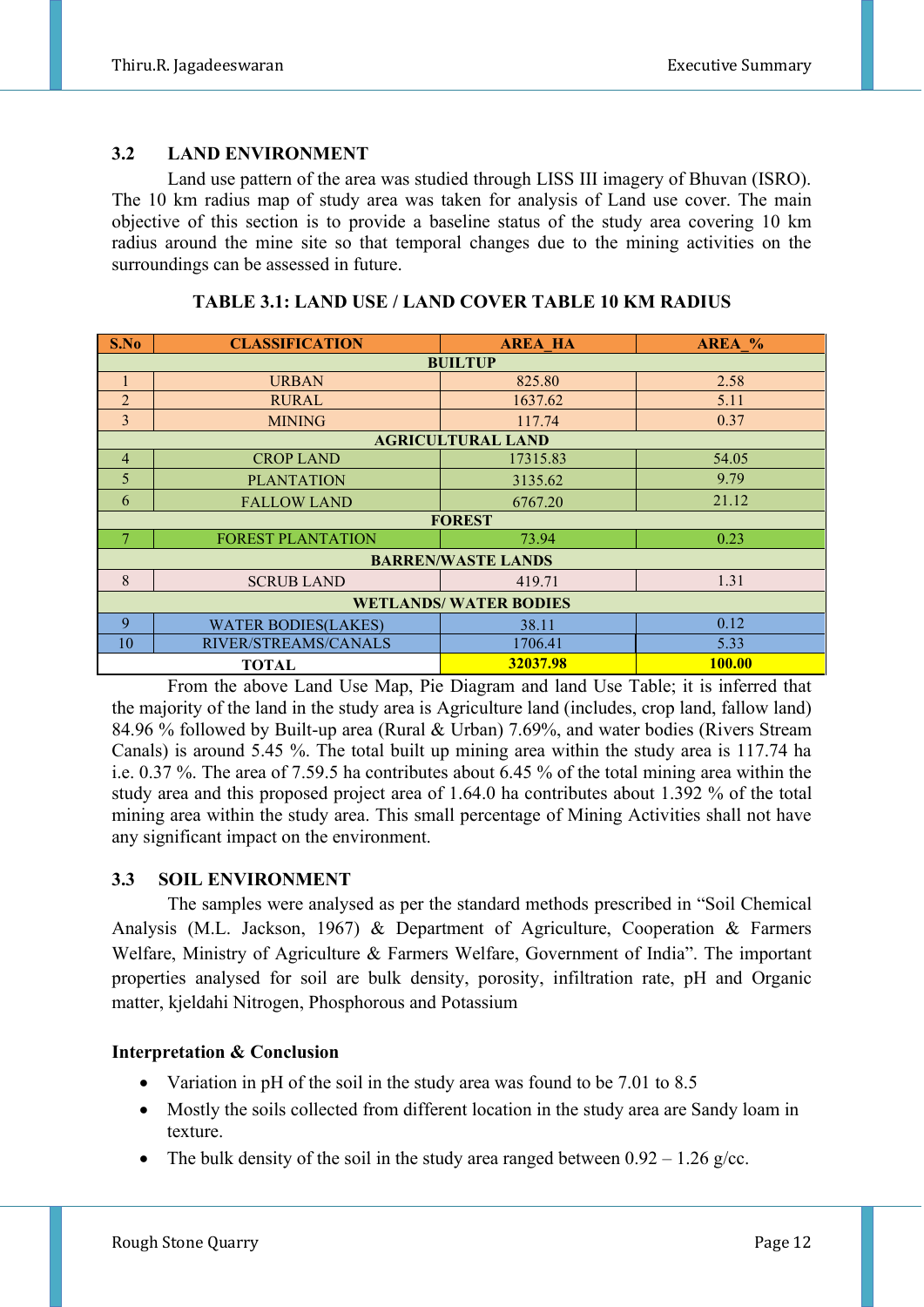# **3.2 LAND ENVIRONMENT**

 Land use pattern of the area was studied through LISS III imagery of Bhuvan (ISRO). The 10 km radius map of study area was taken for analysis of Land use cover. The main objective of this section is to provide a baseline status of the study area covering 10 km radius around the mine site so that temporal changes due to the mining activities on the surroundings can be assessed in future.

| S.No                         | <b>CLASSIFICATION</b>                     | <b>AREA HA</b>            | AREA % |  |  |
|------------------------------|-------------------------------------------|---------------------------|--------|--|--|
|                              | <b>BUILTUP</b>                            |                           |        |  |  |
|                              | <b>URBAN</b>                              | 825.80                    | 2.58   |  |  |
| $\overline{2}$               | <b>RURAL</b>                              | 1637.62                   | 5.11   |  |  |
| $\overline{3}$               | <b>MINING</b>                             | 117.74                    | 0.37   |  |  |
|                              |                                           | <b>AGRICULTURAL LAND</b>  |        |  |  |
| $\overline{4}$               | <b>CROP LAND</b>                          | 17315.83                  | 54.05  |  |  |
| 5                            | <b>PLANTATION</b>                         | 3135.62                   | 9.79   |  |  |
| 6                            | <b>FALLOW LAND</b>                        | 6767.20                   | 21.12  |  |  |
|                              | <b>FOREST</b>                             |                           |        |  |  |
|                              | <b>FOREST PLANTATION</b>                  | 73.94                     | 0.23   |  |  |
|                              |                                           | <b>BARREN/WASTE LANDS</b> |        |  |  |
| 8                            | <b>SCRUB LAND</b>                         | 419.71                    | 1.31   |  |  |
| <b>WETLANDS/WATER BODIES</b> |                                           |                           |        |  |  |
| 9                            | <b>WATER BODIES(LAKES)</b>                | 38.11                     | 0.12   |  |  |
| 10                           | RIVER/STREAMS/CANALS                      | 1706.41                   | 5.33   |  |  |
|                              | 32037.98<br><b>100.00</b><br><b>TOTAL</b> |                           |        |  |  |

#### **TABLE 3.1: LAND USE / LAND COVER TABLE 10 KM RADIUS**

 From the above Land Use Map, Pie Diagram and land Use Table; it is inferred that the majority of the land in the study area is Agriculture land (includes, crop land, fallow land) 84.96 % followed by Built-up area (Rural & Urban) 7.69%, and water bodies (Rivers Stream Canals) is around 5.45 %. The total built up mining area within the study area is 117.74 ha i.e. 0.37 %. The area of 7.59.5 ha contributes about 6.45 % of the total mining area within the study area and this proposed project area of 1.64.0 ha contributes about 1.392 % of the total mining area within the study area. This small percentage of Mining Activities shall not have any significant impact on the environment.

# **3.3 SOIL ENVIRONMENT**

 The samples were analysed as per the standard methods prescribed in "Soil Chemical Analysis (M.L. Jackson, 1967) & Department of Agriculture, Cooperation & Farmers Welfare, Ministry of Agriculture & Farmers Welfare, Government of India". The important properties analysed for soil are bulk density, porosity, infiltration rate, pH and Organic matter, kjeldahi Nitrogen, Phosphorous and Potassium

# **Interpretation & Conclusion**

- Variation in pH of the soil in the study area was found to be 7.01 to 8.5
- Mostly the soils collected from different location in the study area are Sandy loam in texture.
- The bulk density of the soil in the study area ranged between  $0.92 1.26$  g/cc.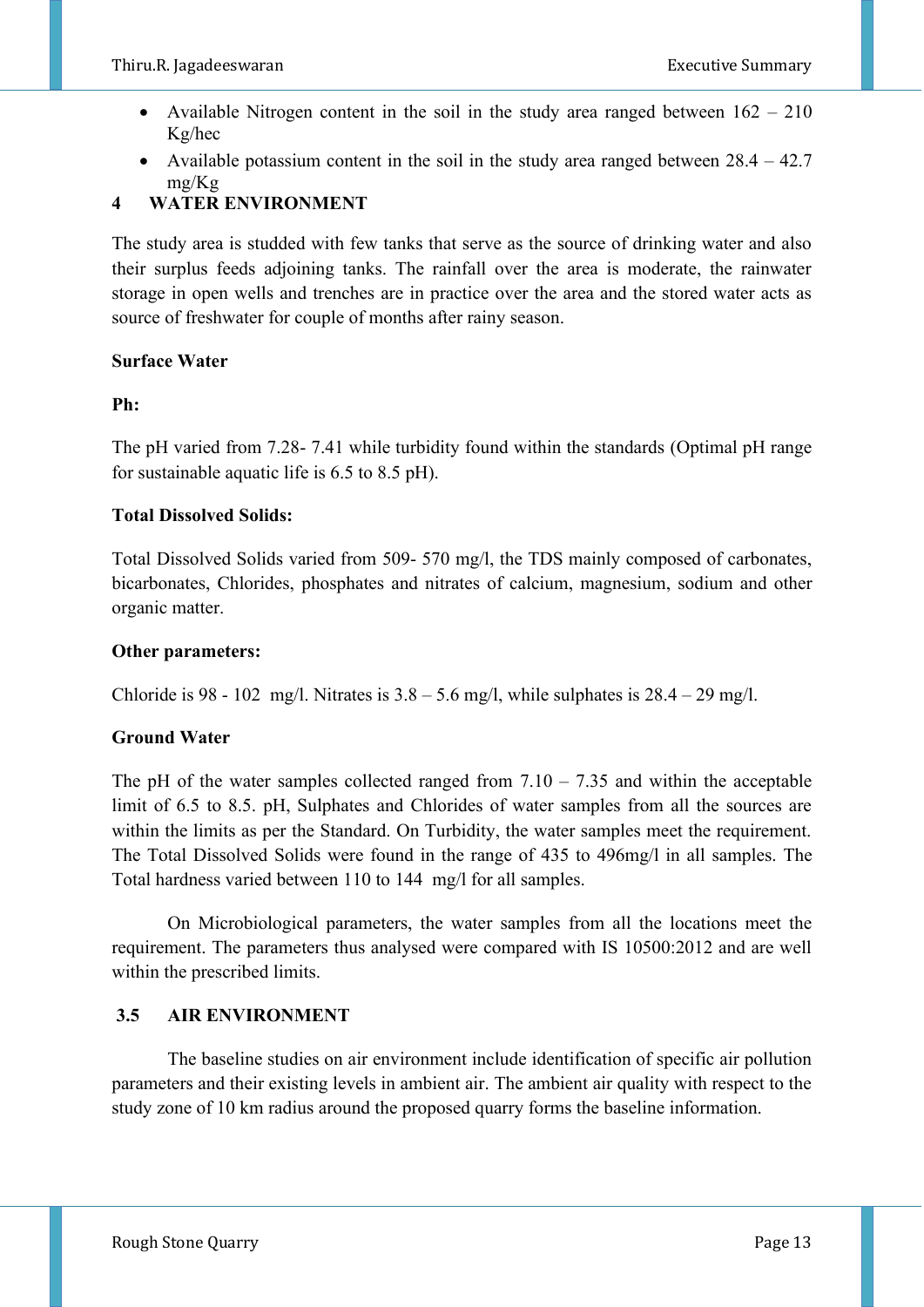- Available Nitrogen content in the soil in the study area ranged between  $162 210$ Kg/hec
- Available potassium content in the soil in the study area ranged between  $28.4 42.7$ mg/Kg

# **4 WATER ENVIRONMENT**

The study area is studded with few tanks that serve as the source of drinking water and also their surplus feeds adjoining tanks. The rainfall over the area is moderate, the rainwater storage in open wells and trenches are in practice over the area and the stored water acts as source of freshwater for couple of months after rainy season.

# **Surface Water**

# **Ph:**

The pH varied from 7.28- 7.41 while turbidity found within the standards (Optimal pH range for sustainable aquatic life is 6.5 to 8.5 pH).

# **Total Dissolved Solids:**

Total Dissolved Solids varied from 509- 570 mg/l, the TDS mainly composed of carbonates, bicarbonates, Chlorides, phosphates and nitrates of calcium, magnesium, sodium and other organic matter.

#### **Other parameters:**

Chloride is 98 - 102 mg/l. Nitrates is  $3.8 - 5.6$  mg/l, while sulphates is  $28.4 - 29$  mg/l.

# **Ground Water**

The pH of the water samples collected ranged from  $7.10 - 7.35$  and within the acceptable limit of 6.5 to 8.5. pH, Sulphates and Chlorides of water samples from all the sources are within the limits as per the Standard. On Turbidity, the water samples meet the requirement. The Total Dissolved Solids were found in the range of 435 to 496mg/l in all samples. The Total hardness varied between 110 to 144 mg/l for all samples.

 On Microbiological parameters, the water samples from all the locations meet the requirement. The parameters thus analysed were compared with IS 10500:2012 and are well within the prescribed limits.

# **3.5 AIR ENVIRONMENT**

The baseline studies on air environment include identification of specific air pollution parameters and their existing levels in ambient air. The ambient air quality with respect to the study zone of 10 km radius around the proposed quarry forms the baseline information.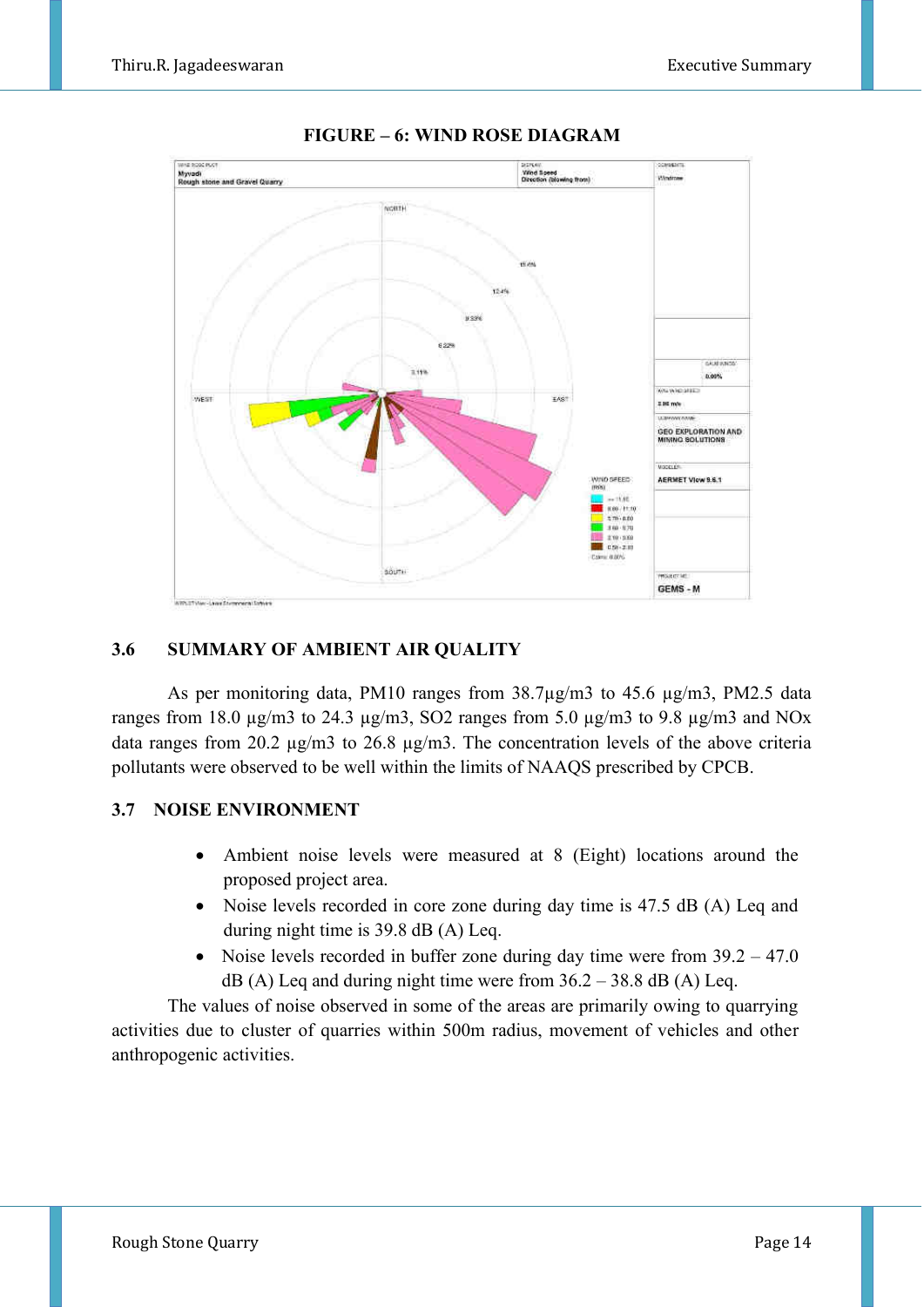

# **FIGURE – 6: WIND ROSE DIAGRAM**

#### **3.6 SUMMARY OF AMBIENT AIR QUALITY**

As per monitoring data, PM10 ranges from 38.7µg/m3 to 45.6 µg/m3, PM2.5 data ranges from 18.0  $\mu$ g/m3 to 24.3  $\mu$ g/m3, SO2 ranges from 5.0  $\mu$ g/m3 to 9.8  $\mu$ g/m3 and NOx data ranges from 20.2 µg/m3 to 26.8 µg/m3. The concentration levels of the above criteria pollutants were observed to be well within the limits of NAAQS prescribed by CPCB.

#### **3.7 NOISE ENVIRONMENT**

- Ambient noise levels were measured at 8 (Eight) locations around the proposed project area.
- Noise levels recorded in core zone during day time is 47.5 dB (A) Leq and during night time is 39.8 dB (A) Leq.
- Noise levels recorded in buffer zone during day time were from  $39.2 47.0$  $dB$  (A) Leq and during night time were from  $36.2 - 38.8$  dB (A) Leq.

The values of noise observed in some of the areas are primarily owing to quarrying activities due to cluster of quarries within 500m radius, movement of vehicles and other anthropogenic activities.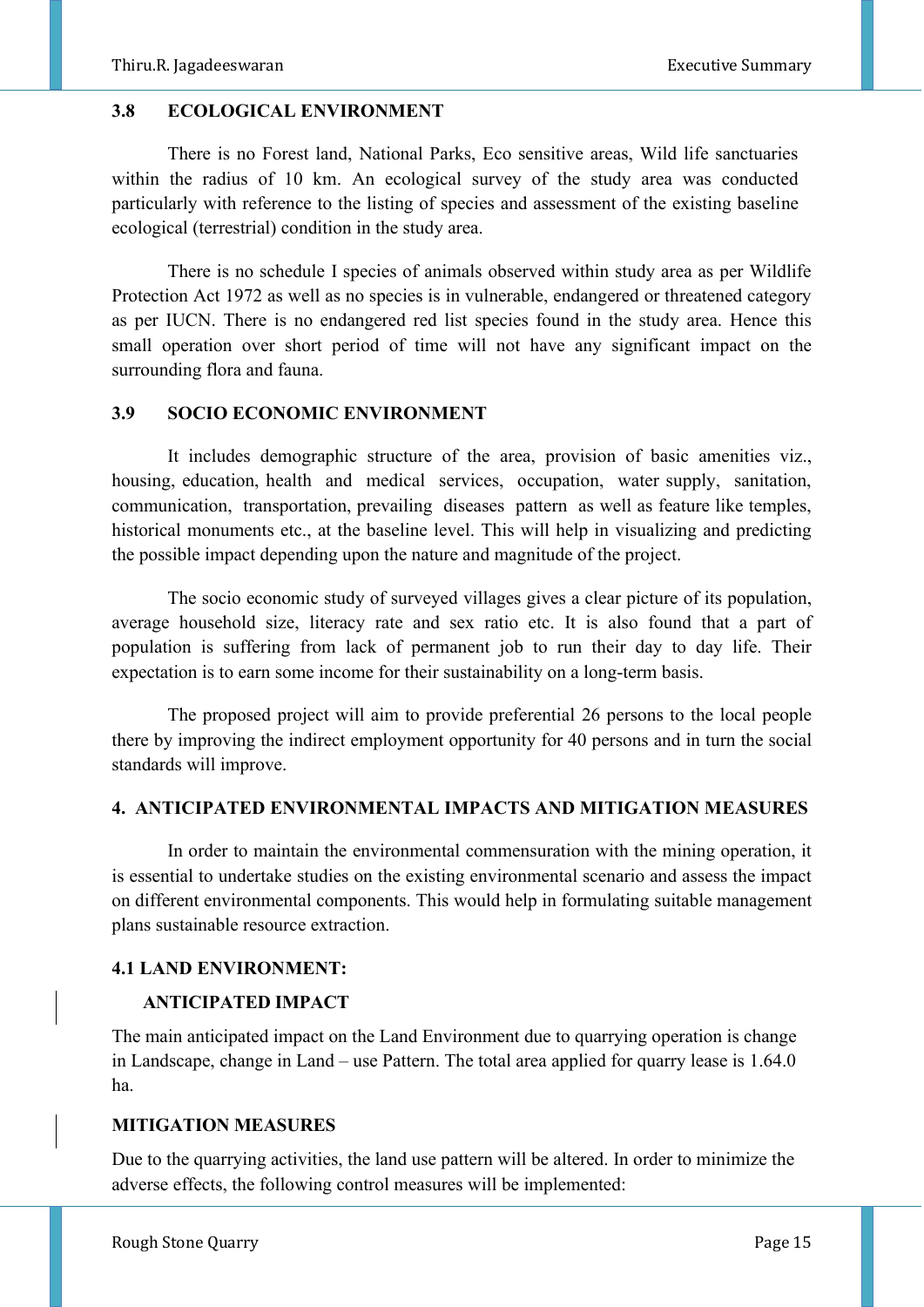#### **3.8 ECOLOGICAL ENVIRONMENT**

There is no Forest land, National Parks, Eco sensitive areas, Wild life sanctuaries within the radius of 10 km. An ecological survey of the study area was conducted particularly with reference to the listing of species and assessment of the existing baseline ecological (terrestrial) condition in the study area.

There is no schedule I species of animals observed within study area as per Wildlife Protection Act 1972 as well as no species is in vulnerable, endangered or threatened category as per IUCN. There is no endangered red list species found in the study area. Hence this small operation over short period of time will not have any significant impact on the surrounding flora and fauna.

#### **3.9 SOCIO ECONOMIC ENVIRONMENT**

It includes demographic structure of the area, provision of basic amenities viz., housing, education, health and medical services, occupation, water supply, sanitation, communication, transportation, prevailing diseases pattern as well as feature like temples, historical monuments etc., at the baseline level. This will help in visualizing and predicting the possible impact depending upon the nature and magnitude of the project.

The socio economic study of surveyed villages gives a clear picture of its population, average household size, literacy rate and sex ratio etc. It is also found that a part of population is suffering from lack of permanent job to run their day to day life. Their expectation is to earn some income for their sustainability on a long-term basis.

The proposed project will aim to provide preferential 26 persons to the local people there by improving the indirect employment opportunity for 40 persons and in turn the social standards will improve.

# **4. ANTICIPATED ENVIRONMENTAL IMPACTS AND MITIGATION MEASURES**

In order to maintain the environmental commensuration with the mining operation, it is essential to undertake studies on the existing environmental scenario and assess the impact on different environmental components. This would help in formulating suitable management plans sustainable resource extraction.

# **4.1 LAND ENVIRONMENT:**

# **ANTICIPATED IMPACT**

The main anticipated impact on the Land Environment due to quarrying operation is change in Landscape, change in Land – use Pattern. The total area applied for quarry lease is 1.64.0 ha.

#### **MITIGATION MEASURES**

Due to the quarrying activities, the land use pattern will be altered. In order to minimize the adverse effects, the following control measures will be implemented: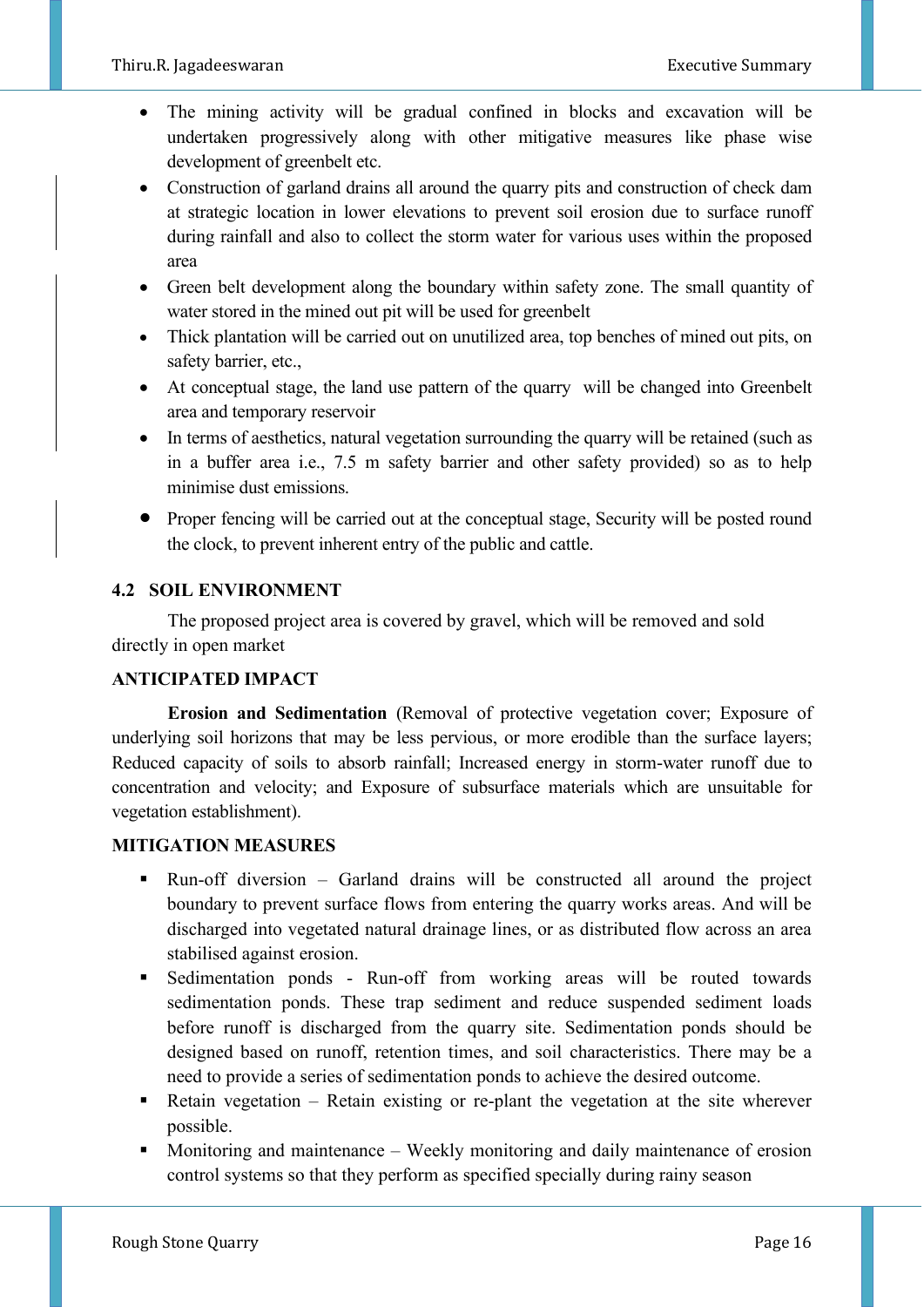- The mining activity will be gradual confined in blocks and excavation will be undertaken progressively along with other mitigative measures like phase wise development of greenbelt etc.
- Construction of garland drains all around the quarry pits and construction of check dam at strategic location in lower elevations to prevent soil erosion due to surface runoff during rainfall and also to collect the storm water for various uses within the proposed area
- Green belt development along the boundary within safety zone. The small quantity of water stored in the mined out pit will be used for greenbelt
- Thick plantation will be carried out on unutilized area, top benches of mined out pits, on safety barrier, etc.,
- At conceptual stage, the land use pattern of the quarry will be changed into Greenbelt area and temporary reservoir
- In terms of aesthetics, natural vegetation surrounding the quarry will be retained (such as in a buffer area i.e., 7.5 m safety barrier and other safety provided) so as to help minimise dust emissions.
- Proper fencing will be carried out at the conceptual stage, Security will be posted round the clock, to prevent inherent entry of the public and cattle.

# **4.2 SOIL ENVIRONMENT**

The proposed project area is covered by gravel, which will be removed and sold directly in open market

# **ANTICIPATED IMPACT**

**Erosion and Sedimentation** (Removal of protective vegetation cover; Exposure of underlying soil horizons that may be less pervious, or more erodible than the surface layers; Reduced capacity of soils to absorb rainfall; Increased energy in storm-water runoff due to concentration and velocity; and Exposure of subsurface materials which are unsuitable for vegetation establishment).

# **MITIGATION MEASURES**

- Run-off diversion Garland drains will be constructed all around the project boundary to prevent surface flows from entering the quarry works areas. And will be discharged into vegetated natural drainage lines, or as distributed flow across an area stabilised against erosion.
- Sedimentation ponds Run-off from working areas will be routed towards sedimentation ponds. These trap sediment and reduce suspended sediment loads before runoff is discharged from the quarry site. Sedimentation ponds should be designed based on runoff, retention times, and soil characteristics. There may be a need to provide a series of sedimentation ponds to achieve the desired outcome.
- $\blacksquare$  Retain vegetation Retain existing or re-plant the vegetation at the site wherever possible.
- Monitoring and maintenance Weekly monitoring and daily maintenance of erosion control systems so that they perform as specified specially during rainy season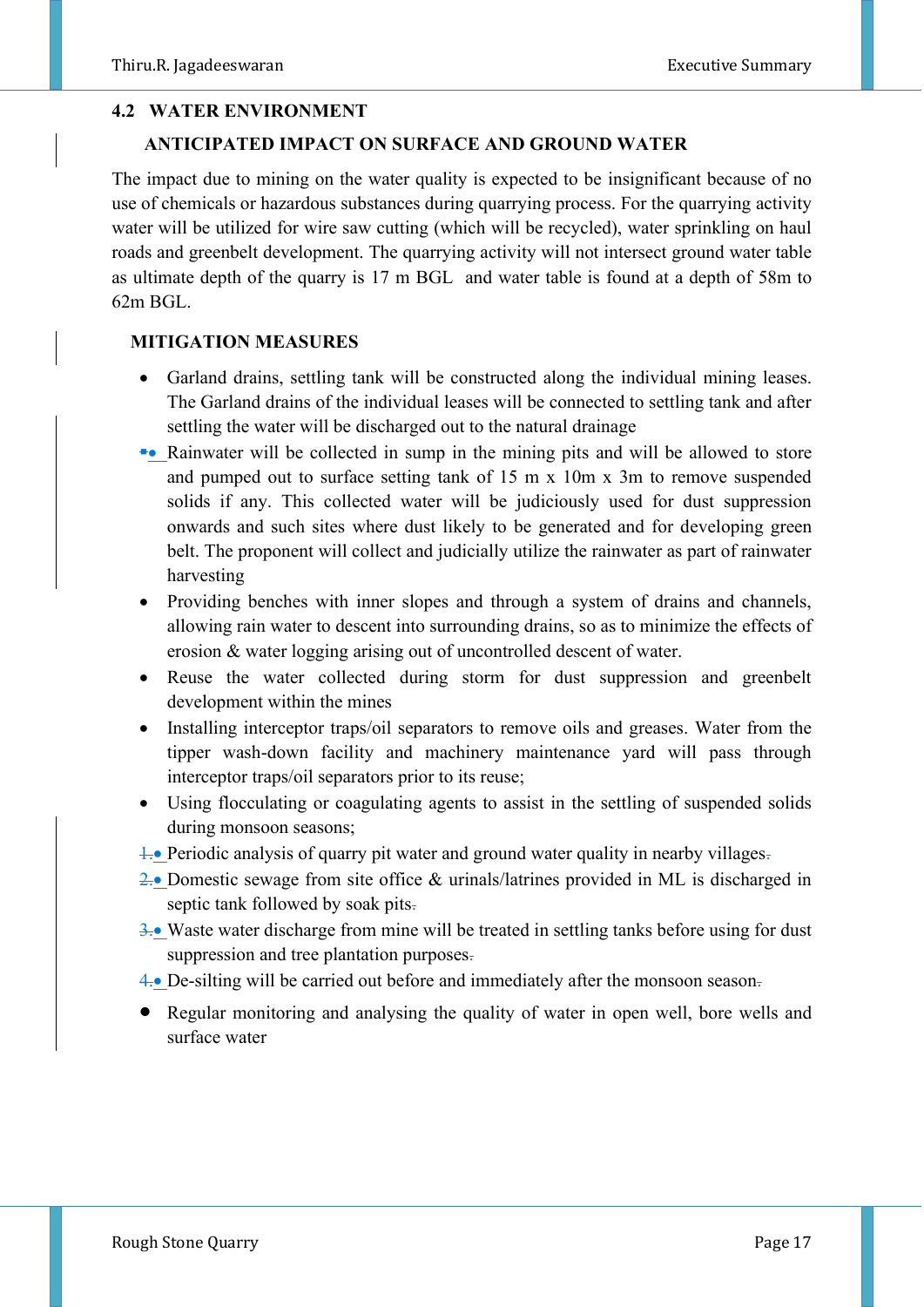#### **4.2 WATER ENVIRONMENT**

#### **ANTICIPATED IMPACT ON SURFACE AND GROUND WATER**

The impact due to mining on the water quality is expected to be insignificant because of no use of chemicals or hazardous substances during quarrying process. For the quarrying activity water will be utilized for wire saw cutting (which will be recycled), water sprinkling on haul roads and greenbelt development. The quarrying activity will not intersect ground water table as ultimate depth of the quarry is 17 m BGL and water table is found at a depth of 58m to 62m BGL.

# **MITIGATION MEASURES**

- Garland drains, settling tank will be constructed along the individual mining leases. The Garland drains of the individual leases will be connected to settling tank and after settling the water will be discharged out to the natural drainage
- ▪• Rainwater will be collected in sump in the mining pits and will be allowed to store and pumped out to surface setting tank of 15 m x 10m x 3m to remove suspended solids if any. This collected water will be judiciously used for dust suppression onwards and such sites where dust likely to be generated and for developing green belt. The proponent will collect and judicially utilize the rainwater as part of rainwater harvesting
- Providing benches with inner slopes and through a system of drains and channels, allowing rain water to descent into surrounding drains, so as to minimize the effects of erosion & water logging arising out of uncontrolled descent of water.
- Reuse the water collected during storm for dust suppression and greenbelt development within the mines
- Installing interceptor traps/oil separators to remove oils and greases. Water from the tipper wash-down facility and machinery maintenance yard will pass through interceptor traps/oil separators prior to its reuse;
- Using flocculating or coagulating agents to assist in the settling of suspended solids during monsoon seasons;
- **1.** Periodic analysis of quarry pit water and ground water quality in nearby villages-
- 2.• Domestic sewage from site office & urinals/latrines provided in ML is discharged in septic tank followed by soak pits.
- 3.• Waste water discharge from mine will be treated in settling tanks before using for dust suppression and tree plantation purposes.
- 4.• De-silting will be carried out before and immediately after the monsoon season.
- Regular monitoring and analysing the quality of water in open well, bore wells and surface water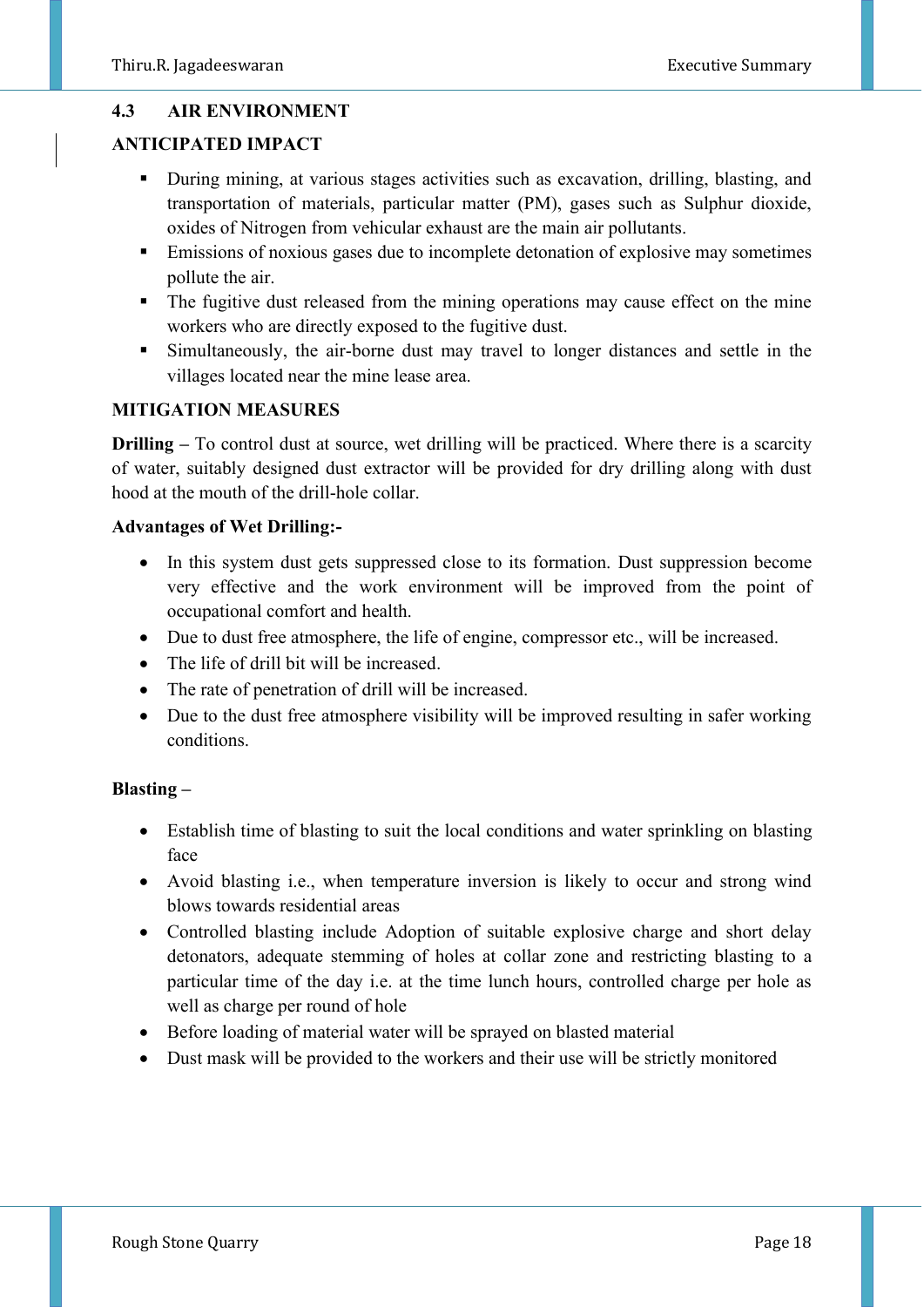# **4.3 AIR ENVIRONMENT**

# **ANTICIPATED IMPACT**

- During mining, at various stages activities such as excavation, drilling, blasting, and transportation of materials, particular matter (PM), gases such as Sulphur dioxide, oxides of Nitrogen from vehicular exhaust are the main air pollutants.
- **Emissions of noxious gases due to incomplete detonation of explosive may sometimes** pollute the air.
- The fugitive dust released from the mining operations may cause effect on the mine workers who are directly exposed to the fugitive dust.
- Simultaneously, the air-borne dust may travel to longer distances and settle in the villages located near the mine lease area.

#### **MITIGATION MEASURES**

**Drilling –** To control dust at source, wet drilling will be practiced. Where there is a scarcity of water, suitably designed dust extractor will be provided for dry drilling along with dust hood at the mouth of the drill-hole collar.

#### **Advantages of Wet Drilling:-**

- In this system dust gets suppressed close to its formation. Dust suppression become very effective and the work environment will be improved from the point of occupational comfort and health.
- Due to dust free atmosphere, the life of engine, compressor etc., will be increased.
- The life of drill bit will be increased.
- The rate of penetration of drill will be increased.
- Due to the dust free atmosphere visibility will be improved resulting in safer working conditions.

#### **Blasting –**

- Establish time of blasting to suit the local conditions and water sprinkling on blasting face
- Avoid blasting i.e., when temperature inversion is likely to occur and strong wind blows towards residential areas
- Controlled blasting include Adoption of suitable explosive charge and short delay detonators, adequate stemming of holes at collar zone and restricting blasting to a particular time of the day i.e. at the time lunch hours, controlled charge per hole as well as charge per round of hole
- Before loading of material water will be sprayed on blasted material
- Dust mask will be provided to the workers and their use will be strictly monitored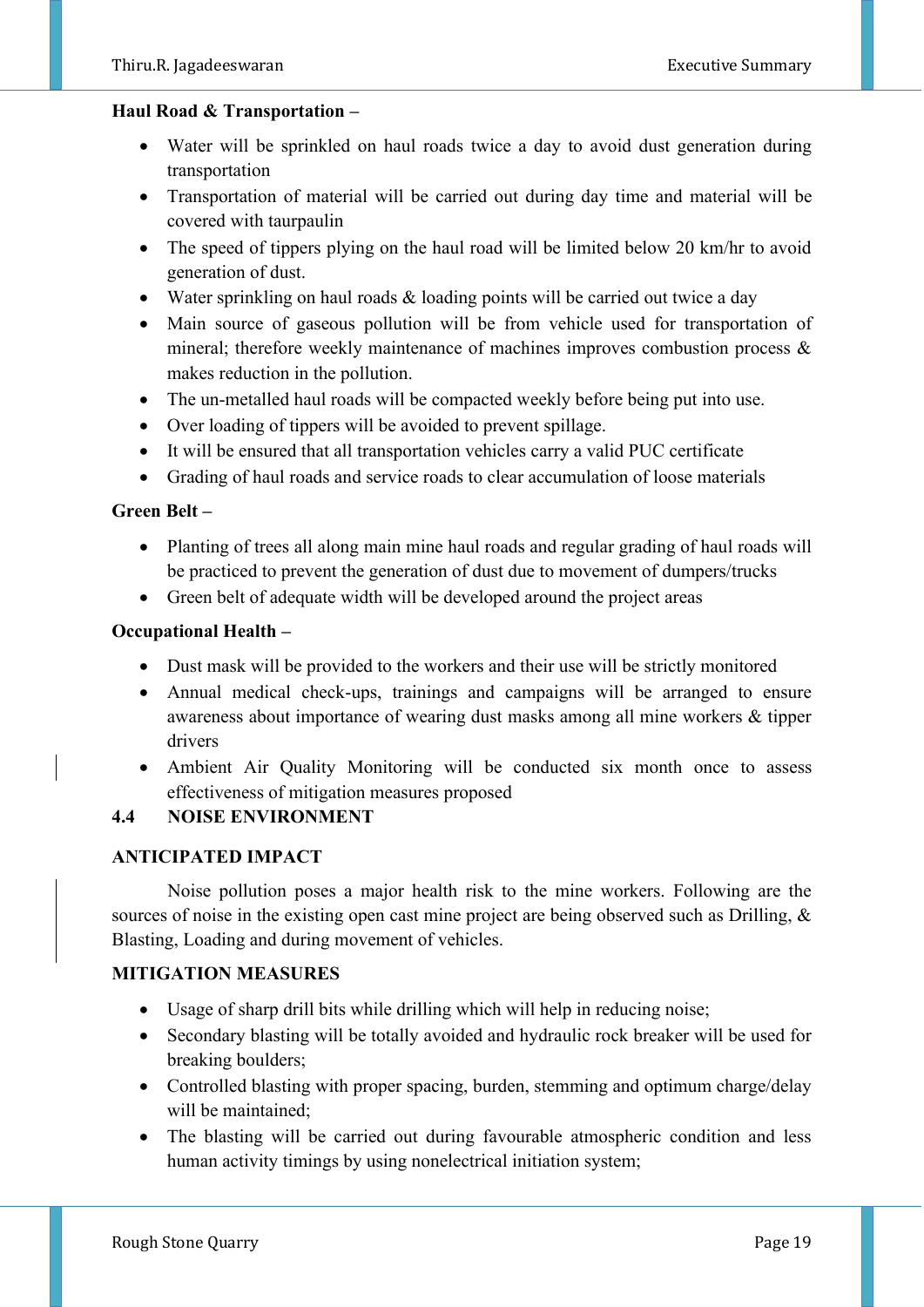#### **Haul Road & Transportation –**

- Water will be sprinkled on haul roads twice a day to avoid dust generation during transportation
- Transportation of material will be carried out during day time and material will be covered with taurpaulin
- The speed of tippers plying on the haul road will be limited below 20 km/hr to avoid generation of dust.
- Water sprinkling on haul roads & loading points will be carried out twice a day
- Main source of gaseous pollution will be from vehicle used for transportation of mineral; therefore weekly maintenance of machines improves combustion process & makes reduction in the pollution.
- The un-metalled haul roads will be compacted weekly before being put into use.
- Over loading of tippers will be avoided to prevent spillage.
- It will be ensured that all transportation vehicles carry a valid PUC certificate
- Grading of haul roads and service roads to clear accumulation of loose materials

#### **Green Belt –**

- Planting of trees all along main mine haul roads and regular grading of haul roads will be practiced to prevent the generation of dust due to movement of dumpers/trucks
- Green belt of adequate width will be developed around the project areas

#### **Occupational Health –**

- Dust mask will be provided to the workers and their use will be strictly monitored
- Annual medical check-ups, trainings and campaigns will be arranged to ensure awareness about importance of wearing dust masks among all mine workers & tipper drivers
- Ambient Air Quality Monitoring will be conducted six month once to assess effectiveness of mitigation measures proposed

#### **4.4 NOISE ENVIRONMENT**

#### **ANTICIPATED IMPACT**

Noise pollution poses a major health risk to the mine workers. Following are the sources of noise in the existing open cast mine project are being observed such as Drilling, & Blasting, Loading and during movement of vehicles.

#### **MITIGATION MEASURES**

- Usage of sharp drill bits while drilling which will help in reducing noise;
- Secondary blasting will be totally avoided and hydraulic rock breaker will be used for breaking boulders;
- Controlled blasting with proper spacing, burden, stemming and optimum charge/delay will be maintained;
- The blasting will be carried out during favourable atmospheric condition and less human activity timings by using nonelectrical initiation system;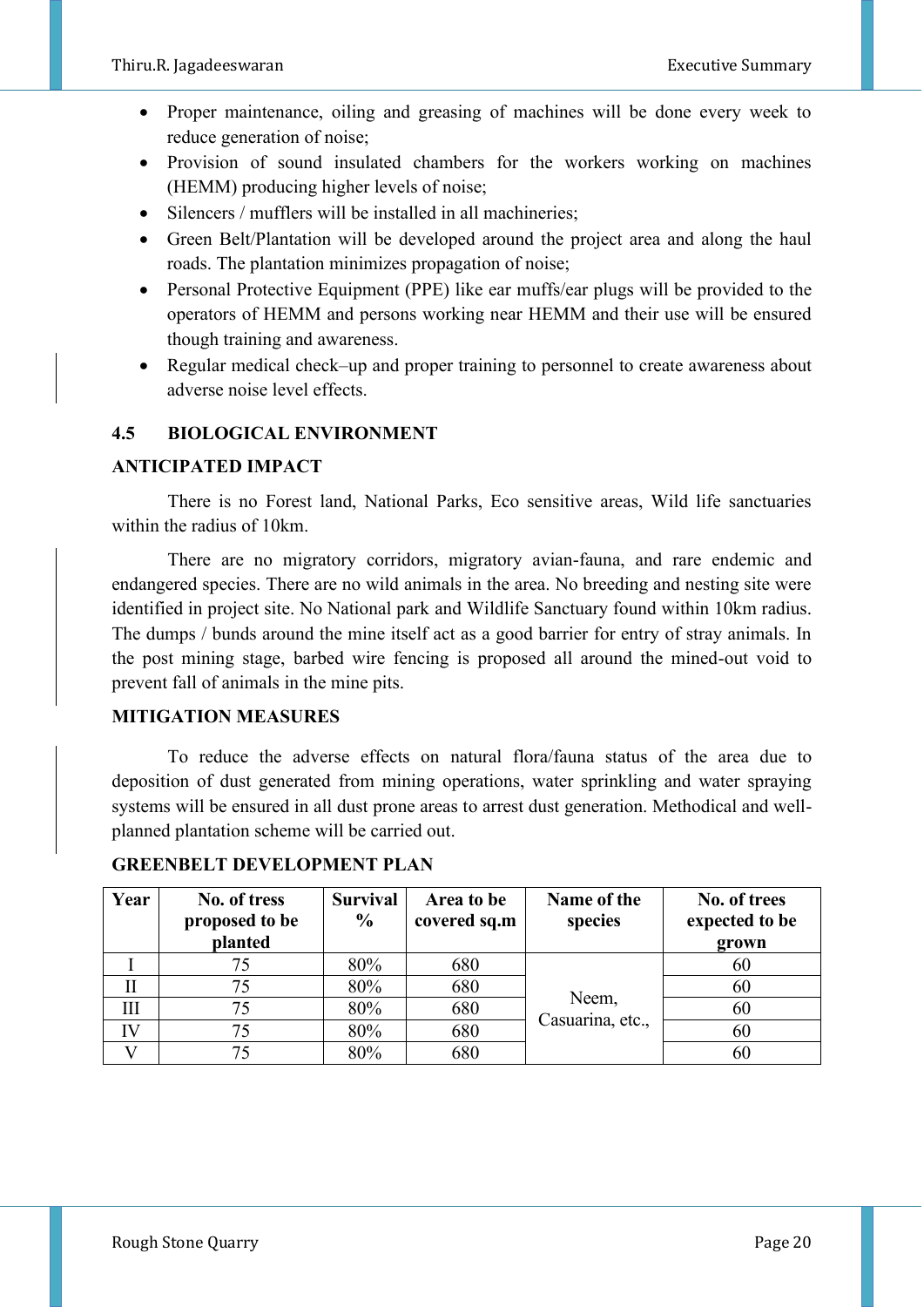- Proper maintenance, oiling and greasing of machines will be done every week to reduce generation of noise;
- Provision of sound insulated chambers for the workers working on machines (HEMM) producing higher levels of noise;
- Silencers / mufflers will be installed in all machineries:
- Green Belt/Plantation will be developed around the project area and along the haul roads. The plantation minimizes propagation of noise;
- Personal Protective Equipment (PPE) like ear muffs/ear plugs will be provided to the operators of HEMM and persons working near HEMM and their use will be ensured though training and awareness.
- Regular medical check–up and proper training to personnel to create awareness about adverse noise level effects.

# **4.5 BIOLOGICAL ENVIRONMENT**

#### **ANTICIPATED IMPACT**

There is no Forest land, National Parks, Eco sensitive areas, Wild life sanctuaries within the radius of 10km.

 There are no migratory corridors, migratory avian-fauna, and rare endemic and endangered species. There are no wild animals in the area. No breeding and nesting site were identified in project site. No National park and Wildlife Sanctuary found within 10km radius. The dumps / bunds around the mine itself act as a good barrier for entry of stray animals. In the post mining stage, barbed wire fencing is proposed all around the mined-out void to prevent fall of animals in the mine pits.

#### **MITIGATION MEASURES**

 To reduce the adverse effects on natural flora/fauna status of the area due to deposition of dust generated from mining operations, water sprinkling and water spraying systems will be ensured in all dust prone areas to arrest dust generation. Methodical and wellplanned plantation scheme will be carried out.

| Year | No. of tress   | <b>Survival</b> | Area to be   | Name of the               | No. of trees   |
|------|----------------|-----------------|--------------|---------------------------|----------------|
|      | proposed to be | $\frac{6}{9}$   | covered sq.m | species                   | expected to be |
|      | planted        |                 |              |                           | grown          |
|      | 75             | 80%             | 680          |                           | 60             |
| П    | 75             | 80%             | 680          | Neem,<br>Casuarina, etc., | 60             |
| Ш    | 75             | 80%             | 680          |                           | 60             |
| IV   | 75             | 80%             | 680          |                           | 60             |
|      | 75             | 80%             | 680          |                           | 60             |

#### **GREENBELT DEVELOPMENT PLAN**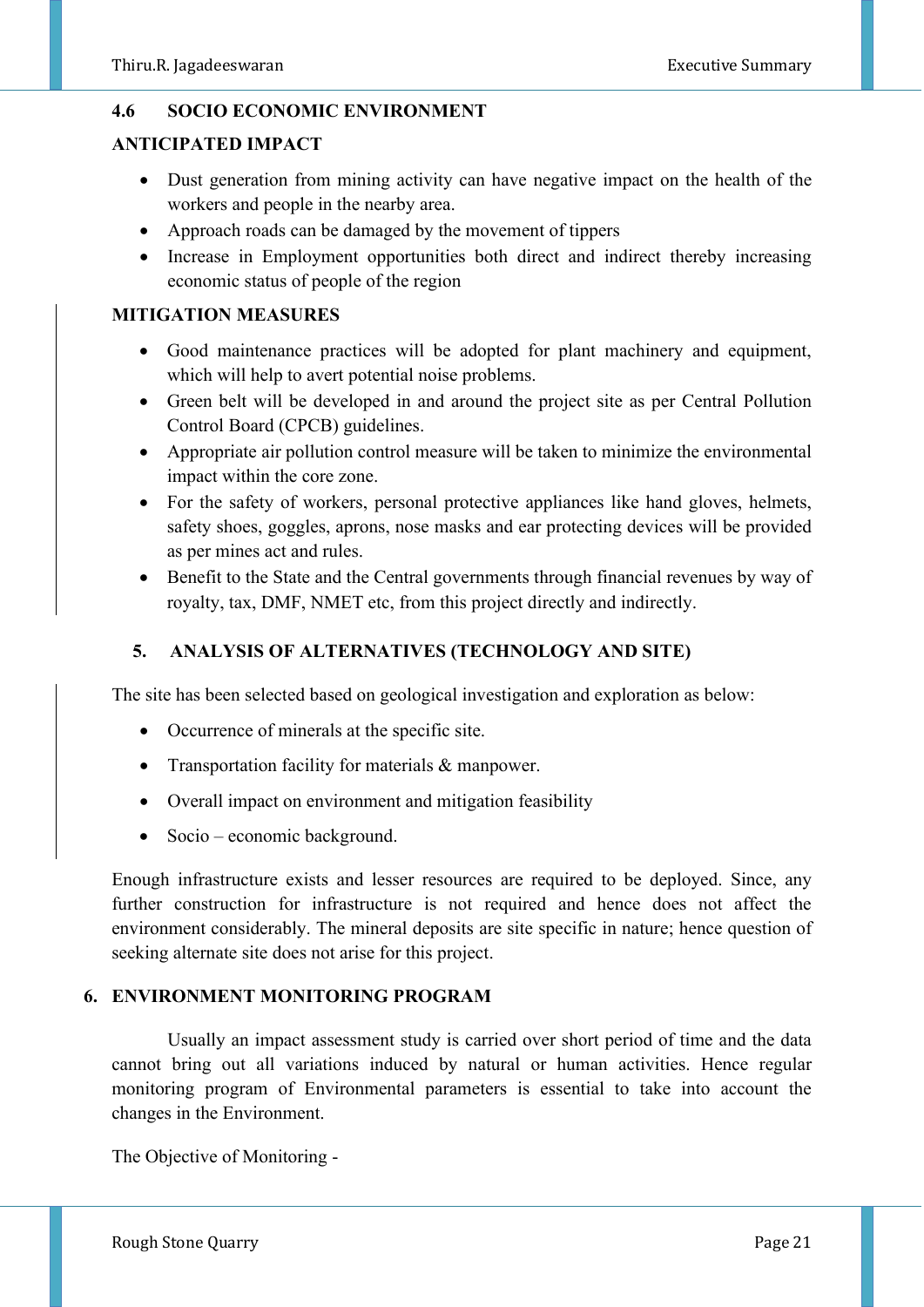#### **4.6 SOCIO ECONOMIC ENVIRONMENT**

#### **ANTICIPATED IMPACT**

- Dust generation from mining activity can have negative impact on the health of the workers and people in the nearby area.
- Approach roads can be damaged by the movement of tippers
- Increase in Employment opportunities both direct and indirect thereby increasing economic status of people of the region

# **MITIGATION MEASURES**

- Good maintenance practices will be adopted for plant machinery and equipment, which will help to avert potential noise problems.
- Green belt will be developed in and around the project site as per Central Pollution Control Board (CPCB) guidelines.
- Appropriate air pollution control measure will be taken to minimize the environmental impact within the core zone.
- For the safety of workers, personal protective appliances like hand gloves, helmets, safety shoes, goggles, aprons, nose masks and ear protecting devices will be provided as per mines act and rules.
- Benefit to the State and the Central governments through financial revenues by way of royalty, tax, DMF, NMET etc, from this project directly and indirectly.

# **5. ANALYSIS OF ALTERNATIVES (TECHNOLOGY AND SITE)**

The site has been selected based on geological investigation and exploration as below:

- Occurrence of minerals at the specific site.
- Transportation facility for materials & manpower.
- Overall impact on environment and mitigation feasibility
- Socio economic background.

Enough infrastructure exists and lesser resources are required to be deployed. Since, any further construction for infrastructure is not required and hence does not affect the environment considerably. The mineral deposits are site specific in nature; hence question of seeking alternate site does not arise for this project.

# **6. ENVIRONMENT MONITORING PROGRAM**

Usually an impact assessment study is carried over short period of time and the data cannot bring out all variations induced by natural or human activities. Hence regular monitoring program of Environmental parameters is essential to take into account the changes in the Environment.

The Objective of Monitoring -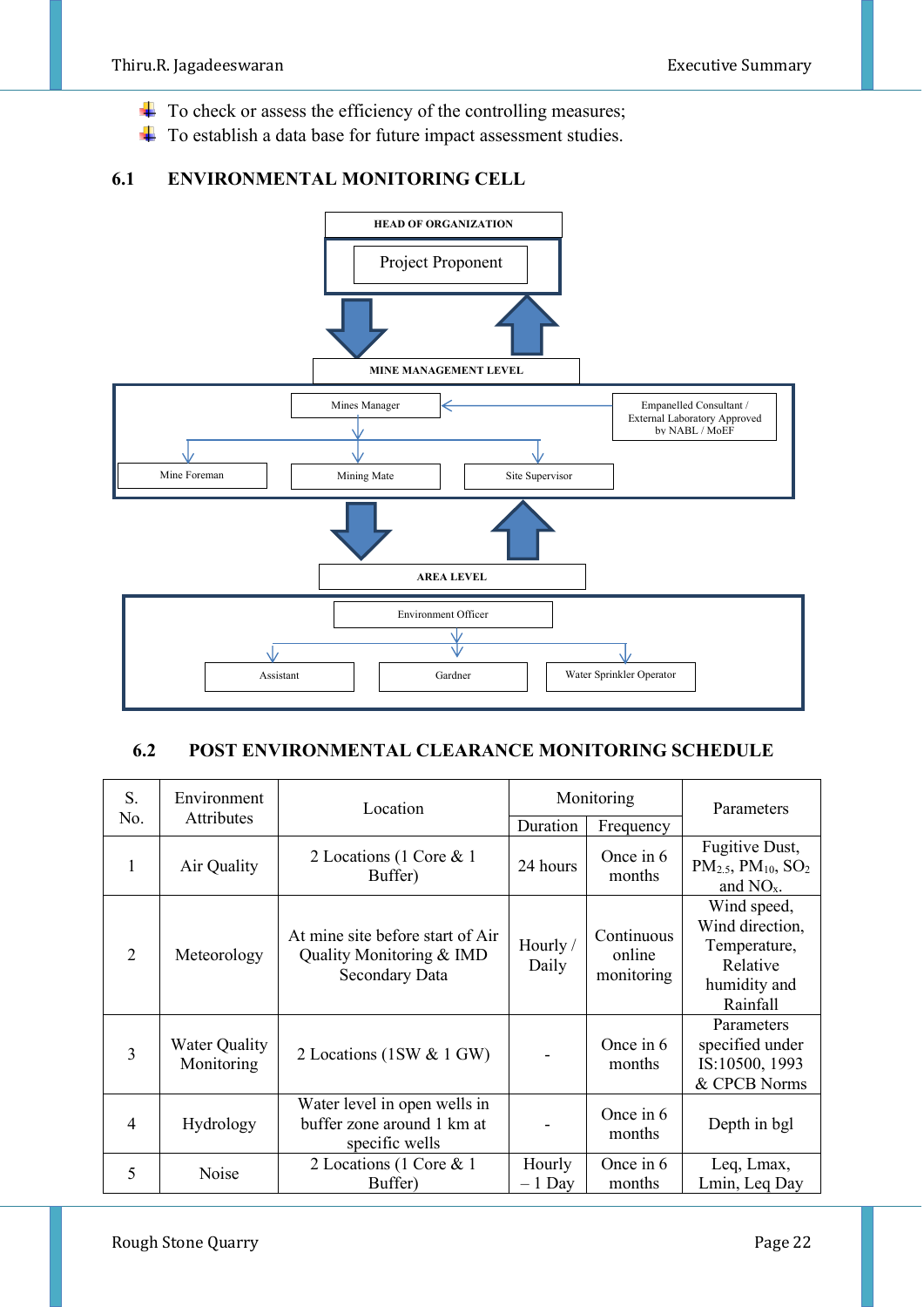- $\overline{\text{+}}$  To check or assess the efficiency of the controlling measures;
- ÷ To establish a data base for future impact assessment studies.

# **6.1 ENVIRONMENTAL MONITORING CELL**



# **6.2 POST ENVIRONMENTAL CLEARANCE MONITORING SCHEDULE**

| S.             | Environment                        | Monitoring<br>Location                                                         |                    |                                    | Parameters                                                                             |
|----------------|------------------------------------|--------------------------------------------------------------------------------|--------------------|------------------------------------|----------------------------------------------------------------------------------------|
| No.            | <b>Attributes</b>                  |                                                                                | Duration           | Frequency                          |                                                                                        |
| 1              | Air Quality                        | 2 Locations (1 Core & 1<br>Buffer)                                             | 24 hours           | Once in $6$<br>months              | Fugitive Dust,<br>$PM_{2.5}$ , $PM_{10}$ , $SO_2$<br>and $NOx$ .                       |
| 2              | Meteorology                        | At mine site before start of Air<br>Quality Monitoring & IMD<br>Secondary Data | Hourly /<br>Daily  | Continuous<br>online<br>monitoring | Wind speed,<br>Wind direction,<br>Temperature,<br>Relative<br>humidity and<br>Rainfall |
| $\overline{3}$ | <b>Water Quality</b><br>Monitoring | 2 Locations (1SW & 1 GW)                                                       |                    | Once in $6$<br>months              | Parameters<br>specified under<br>IS:10500, 1993<br>& CPCB Norms                        |
| $\overline{4}$ | Hydrology                          | Water level in open wells in<br>buffer zone around 1 km at<br>specific wells   |                    | Once in 6<br>months                | Depth in bgl                                                                           |
| 5              | Noise                              | 2 Locations (1 Core & 1<br>Buffer)                                             | Hourly<br>$-1$ Day | Once in 6<br>months                | Leq, Lmax,<br>Lmin, Leq Day                                                            |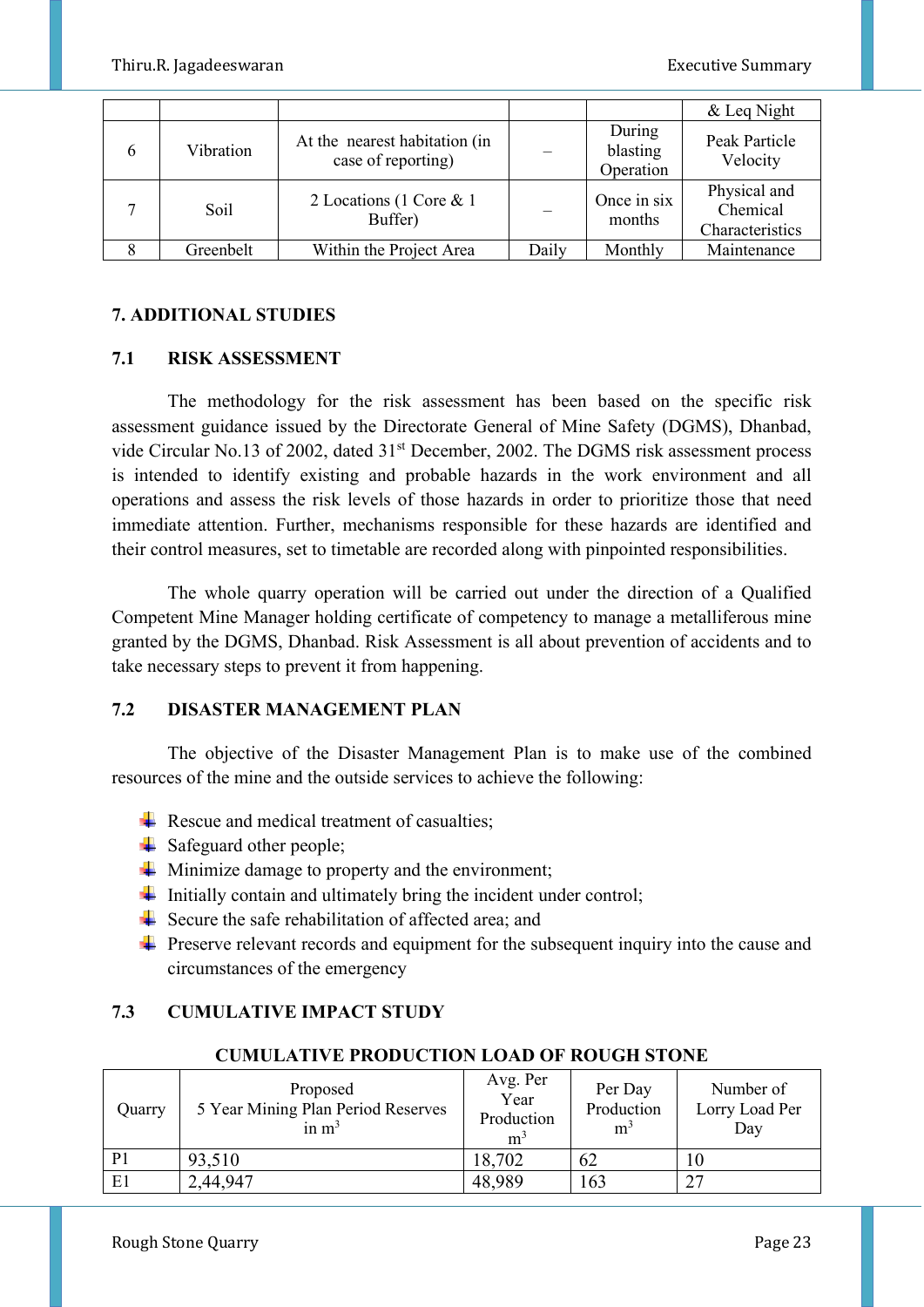|   |           |                                                     |       |                                 | & Leq Night                                 |
|---|-----------|-----------------------------------------------------|-------|---------------------------------|---------------------------------------------|
| 6 | Vibration | At the nearest habitation (in<br>case of reporting) |       | During<br>blasting<br>Operation | Peak Particle<br>Velocity                   |
|   | Soil      | 2 Locations (1 Core & 1<br>Buffer)                  |       | Once in six<br>months           | Physical and<br>Chemical<br>Characteristics |
|   | Greenbelt | Within the Project Area                             | Daily | Monthly                         | Maintenance                                 |

# **7. ADDITIONAL STUDIES**

#### **7.1 RISK ASSESSMENT**

The methodology for the risk assessment has been based on the specific risk assessment guidance issued by the Directorate General of Mine Safety (DGMS), Dhanbad, vide Circular No.13 of 2002, dated 31<sup>st</sup> December, 2002. The DGMS risk assessment process is intended to identify existing and probable hazards in the work environment and all operations and assess the risk levels of those hazards in order to prioritize those that need immediate attention. Further, mechanisms responsible for these hazards are identified and their control measures, set to timetable are recorded along with pinpointed responsibilities.

The whole quarry operation will be carried out under the direction of a Qualified Competent Mine Manager holding certificate of competency to manage a metalliferous mine granted by the DGMS, Dhanbad. Risk Assessment is all about prevention of accidents and to take necessary steps to prevent it from happening.

# **7.2 DISASTER MANAGEMENT PLAN**

 The objective of the Disaster Management Plan is to make use of the combined resources of the mine and the outside services to achieve the following:

- Rescue and medical treatment of casualties;
- $\frac{1}{\sqrt{2}}$  Safeguard other people;
- $\overline{\text{I}}$  Minimize damage to property and the environment;
- $\frac{1}{\sqrt{1}}$  Initially contain and ultimately bring the incident under control;
- Secure the safe rehabilitation of affected area; and
- $\ddot{\phantom{1}}$  Preserve relevant records and equipment for the subsequent inquiry into the cause and circumstances of the emergency

# **7.3 CUMULATIVE IMPACT STUDY**

| Quarry         | Proposed<br>5 Year Mining Plan Period Reserves<br>in $m3$ | Avg. Per<br>Year<br>Production<br>m <sup>3</sup> | Per Day<br>Production<br>m <sup>3</sup> | Number of<br>Lorry Load Per<br>Day |
|----------------|-----------------------------------------------------------|--------------------------------------------------|-----------------------------------------|------------------------------------|
| P <sub>1</sub> | 93,510                                                    | 18,702                                           | 62                                      |                                    |
| E1             | 2,44,947                                                  | 48,989                                           | 163                                     | つワ                                 |

#### **CUMULATIVE PRODUCTION LOAD OF ROUGH STONE**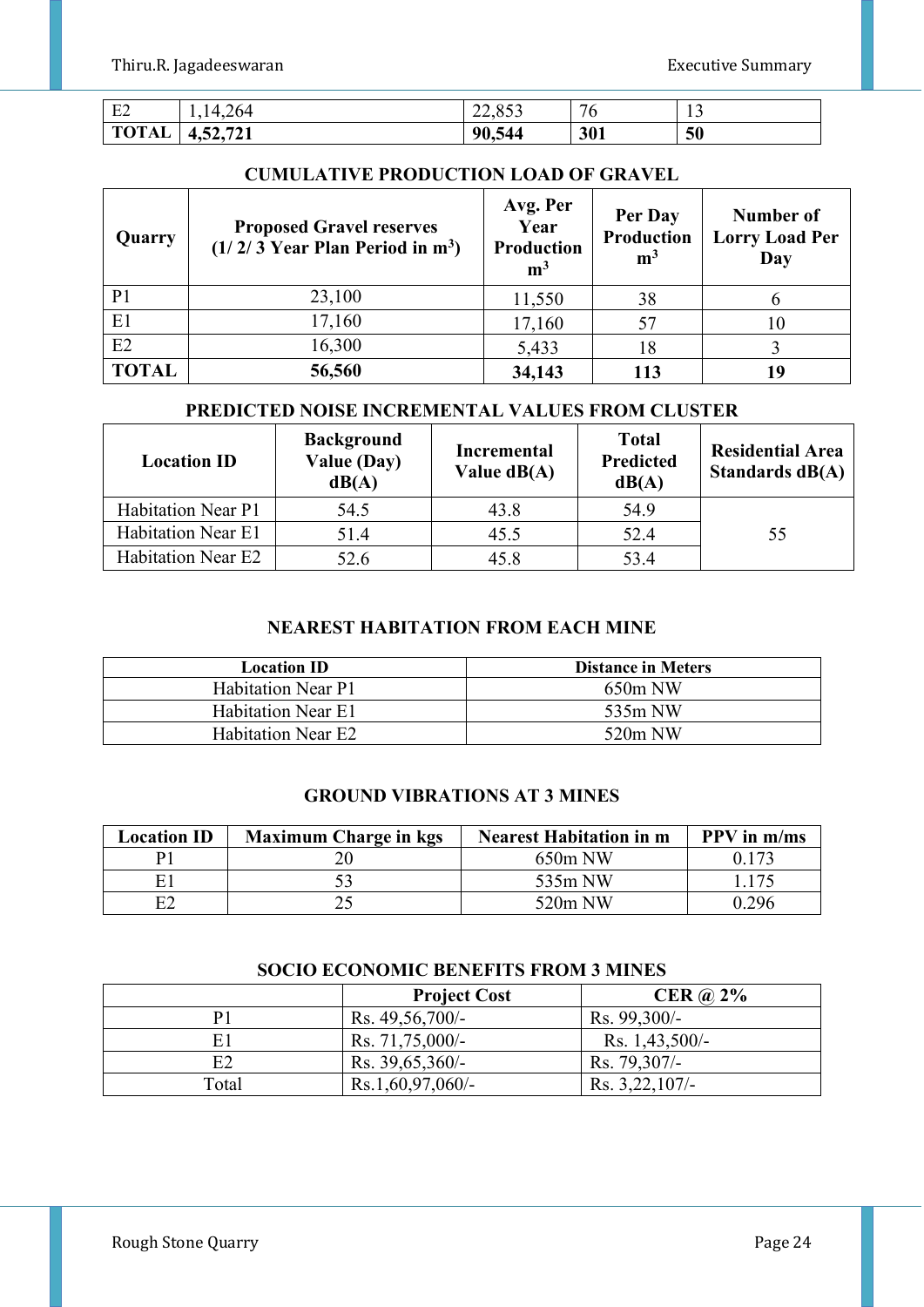| $\Gamma$<br>E2 | $\overline{4}$                               | $\sim$ $\sim$ $\sim$<br>---- | $\overline{ }$ | $\overline{\phantom{a}}$ |
|----------------|----------------------------------------------|------------------------------|----------------|--------------------------|
| TOTAL          | <b>FA1</b><br>. .<br>∍⊿د∙ا<br>. <i>. .</i> . | 90.5<br>544                  | 301            | 50                       |

#### **CUMULATIVE PRODUCTION LOAD OF GRAVEL**

| Quarry         | <b>Proposed Gravel reserves</b><br>$(1/2/3$ Year Plan Period in m <sup>3</sup> ) | Avg. Per<br>Year<br><b>Production</b><br>m <sup>3</sup> | Per Day<br>Production<br>m <sup>3</sup> | Number of<br><b>Lorry Load Per</b><br>Day |
|----------------|----------------------------------------------------------------------------------|---------------------------------------------------------|-----------------------------------------|-------------------------------------------|
| P <sub>1</sub> | 23,100                                                                           | 11,550                                                  | 38                                      |                                           |
| E1             | 17,160                                                                           | 17,160                                                  | 57                                      | 10                                        |
| E2             | 16,300                                                                           | 5,433                                                   | 18                                      |                                           |
| <b>TOTAL</b>   | 56,560                                                                           | 34,143                                                  | 113                                     | 19                                        |

#### **PREDICTED NOISE INCREMENTAL VALUES FROM CLUSTER**

| <b>Location ID</b>        | <b>Background</b><br>Value (Day)<br>dB(A) | <b>Incremental</b><br>Value $dB(A)$ | <b>Total</b><br><b>Predicted</b><br>dB(A) | <b>Residential Area</b><br>Standards dB(A) |
|---------------------------|-------------------------------------------|-------------------------------------|-------------------------------------------|--------------------------------------------|
| <b>Habitation Near P1</b> | 54.5                                      | 43.8                                | 54.9                                      |                                            |
| <b>Habitation Near E1</b> | 51.4                                      | 45.5                                | 52.4                                      | 55                                         |
| <b>Habitation Near E2</b> | 52.6                                      | 45.8                                | 53.4                                      |                                            |

#### **NEAREST HABITATION FROM EACH MINE**

| <b>Location ID</b>        | <b>Distance in Meters</b> |
|---------------------------|---------------------------|
| <b>Habitation Near P1</b> | $650m$ NW                 |
| <b>Habitation Near E1</b> | 535m NW                   |
| <b>Habitation Near E2</b> | $520m$ NW                 |

#### **GROUND VIBRATIONS AT 3 MINES**

| <b>Location ID</b> | <b>Maximum Charge in kgs</b> | <b>Nearest Habitation in m</b> | <b>PPV</b> in m/ms |
|--------------------|------------------------------|--------------------------------|--------------------|
| $\mathbf{p}$       |                              | $650m$ NW                      | 0.173              |
| F                  |                              | 535m NW                        | .175               |
| E2                 |                              | 520m NW                        | በ 296              |

#### **SOCIO ECONOMIC BENEFITS FROM 3 MINES**

|              | <b>Project Cost</b> | CER $\omega$ 2%  |
|--------------|---------------------|------------------|
| Р1           | Rs. 49,56,700/-     | Rs. 99,300/-     |
| E1           | Rs. $71,75,000/-$   | Rs. 1,43,500/-   |
| E2           | Rs. $39,65,360/-$   | Rs. 79,307/-     |
| <b>Total</b> | $Rs.1,60,97,060/$ - | $Rs. 3,22,107/-$ |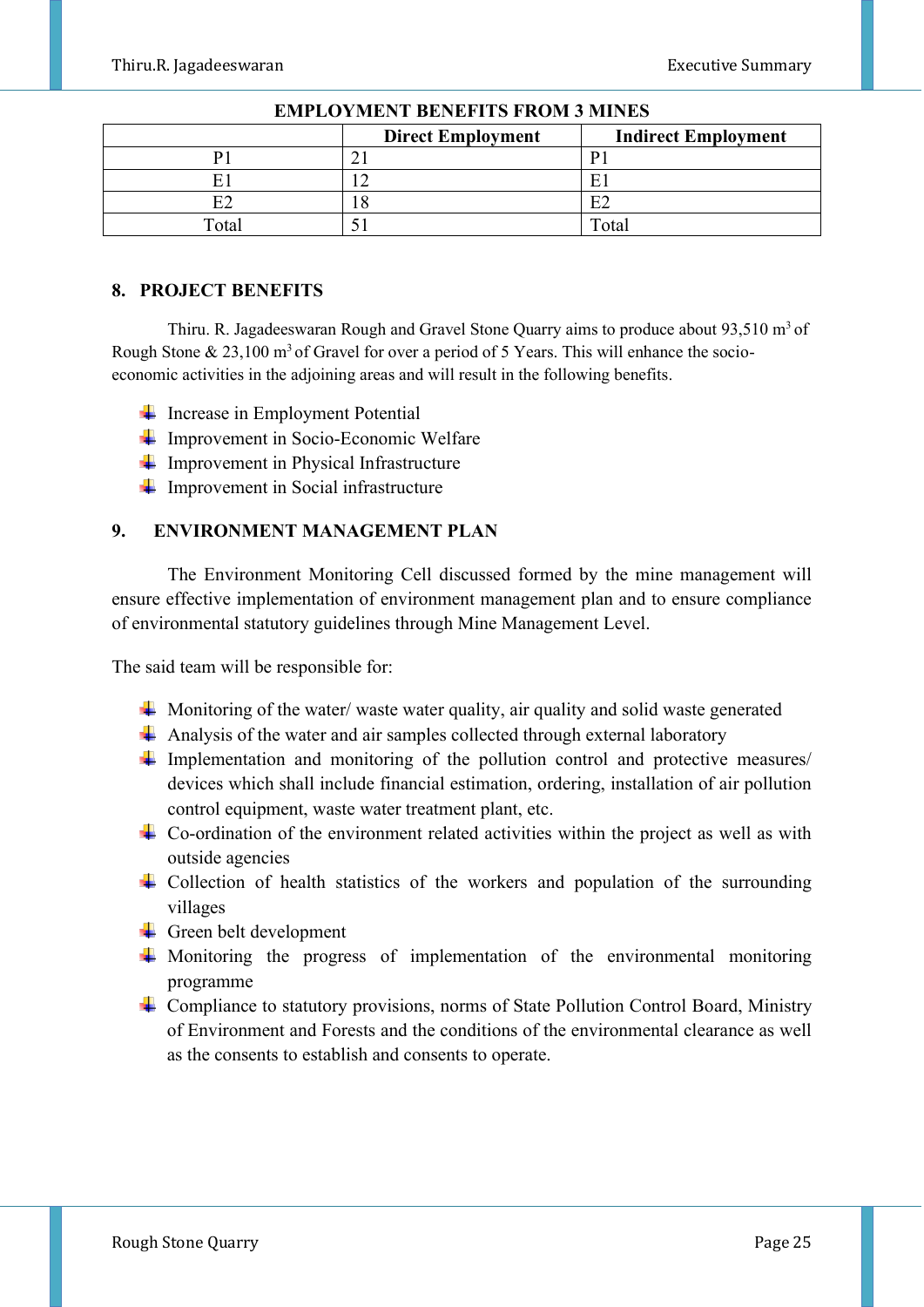|       | <b>Direct Employment</b><br><b>Indirect Employment</b> |       |
|-------|--------------------------------------------------------|-------|
|       |                                                        |       |
|       |                                                        |       |
| רים   |                                                        | 日り    |
| Total |                                                        | Total |

#### **EMPLOYMENT BENEFITS FROM 3 MINES**

#### **8. PROJECT BENEFITS**

Thiru. R. Jagadeeswaran Rough and Gravel Stone Quarry aims to produce about  $93,510 \text{ m}^3$  of Rough Stone  $\& 23,100 \text{ m}^3$  of Gravel for over a period of 5 Years. This will enhance the socioeconomic activities in the adjoining areas and will result in the following benefits.

- $\ddot{\bullet}$  Increase in Employment Potential
- $\frac{1}{\sqrt{1-\frac{1}{\sqrt{1-\frac{1}{\sqrt{1-\frac{1}{\sqrt{1-\frac{1}{\sqrt{1-\frac{1}{\sqrt{1-\frac{1}{\sqrt{1-\frac{1}{\sqrt{1-\frac{1}{\sqrt{1-\frac{1}{\sqrt{1-\frac{1}{\sqrt{1-\frac{1}{\sqrt{1-\frac{1}{\sqrt{1-\frac{1}{\sqrt{1-\frac{1}{\sqrt{1-\frac{1}{\sqrt{1-\frac{1}{\sqrt{1-\frac{1}{\sqrt{1-\frac{1}{\sqrt{1-\frac{1}{\sqrt{1-\frac{1}{\sqrt{1-\frac{1}{\sqrt{1-\frac{1}{\sqrt{1-\frac{1}{\sqrt{1-\frac{1$
- $\blacksquare$  Improvement in Physical Infrastructure
- $\frac{1}{\sqrt{1-\frac{1}{\sqrt{1-\frac{1}{\sqrt{1-\frac{1}{\sqrt{1-\frac{1}{\sqrt{1-\frac{1}{\sqrt{1-\frac{1}{\sqrt{1-\frac{1}{\sqrt{1-\frac{1}{\sqrt{1-\frac{1}{\sqrt{1-\frac{1}{\sqrt{1-\frac{1}{\sqrt{1-\frac{1}{\sqrt{1-\frac{1}{\sqrt{1-\frac{1}{\sqrt{1-\frac{1}{\sqrt{1-\frac{1}{\sqrt{1-\frac{1}{\sqrt{1-\frac{1}{\sqrt{1-\frac{1}{\sqrt{1-\frac{1}{\sqrt{1-\frac{1}{\sqrt{1-\frac{1}{\sqrt{1-\frac{1}{\sqrt{1-\frac{1$

# **9. ENVIRONMENT MANAGEMENT PLAN**

The Environment Monitoring Cell discussed formed by the mine management will ensure effective implementation of environment management plan and to ensure compliance of environmental statutory guidelines through Mine Management Level.

The said team will be responsible for:

- $\downarrow$  Monitoring of the water/ waste water quality, air quality and solid waste generated
- $\overline{\phantom{a}}$  Analysis of the water and air samples collected through external laboratory
- Implementation and monitoring of the pollution control and protective measures/ devices which shall include financial estimation, ordering, installation of air pollution control equipment, waste water treatment plant, etc.
- $\overline{\phantom{a}}$  Co-ordination of the environment related activities within the project as well as with outside agencies
- $\overline{\phantom{a}}$  Collection of health statistics of the workers and population of the surrounding villages
- $\overline{\phantom{a}}$  Green belt development
- $\downarrow$  Monitoring the progress of implementation of the environmental monitoring programme
- Compliance to statutory provisions, norms of State Pollution Control Board, Ministry of Environment and Forests and the conditions of the environmental clearance as well as the consents to establish and consents to operate.